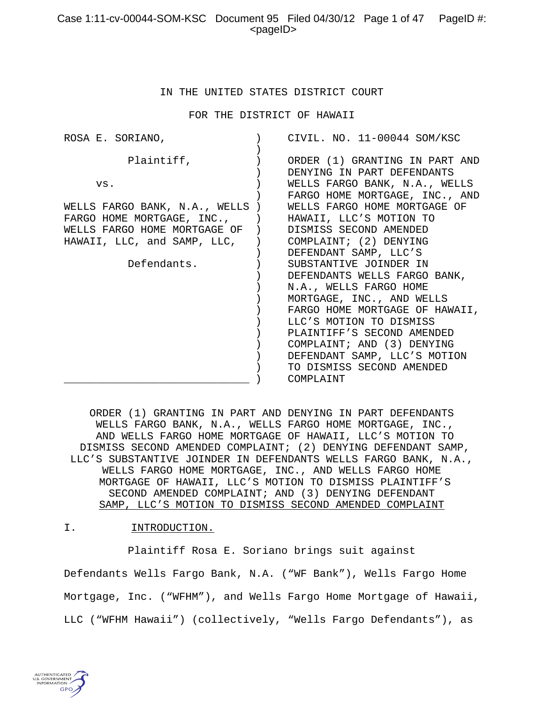# Case 1:11-cv-00044-SOM-KSC Document 95 Filed 04/30/12 Page 1 of 47 PageID #: <pageID>

#### IN THE UNITED STATES DISTRICT COURT

FOR THE DISTRICT OF HAWAII

| ROSA E. SORIANO,                                                                              | CIVIL. NO. 11-00044 SOM/KSC                                                                                                                                                                                                                                                                                      |
|-----------------------------------------------------------------------------------------------|------------------------------------------------------------------------------------------------------------------------------------------------------------------------------------------------------------------------------------------------------------------------------------------------------------------|
| Plaintiff,                                                                                    | ORDER (1) GRANTING IN PART AND<br>DENYING IN PART DEFENDANTS                                                                                                                                                                                                                                                     |
| VS.<br>WELLS FARGO BANK, N.A., WELLS )                                                        | WELLS FARGO BANK, N.A., WELLS<br>FARGO HOME MORTGAGE, INC., AND<br>WELLS FARGO HOME MORTGAGE OF                                                                                                                                                                                                                  |
| FARGO HOME MORTGAGE, INC., )<br>WELLS FARGO HOME MORTGAGE OF )<br>HAWAII, LLC, and SAMP, LLC, | HAWAII, LLC'S MOTION TO<br>DISMISS SECOND AMENDED<br>(2) COMPLAINT; (2) DENYING<br>DEFENDANT SAMP, LLC'S                                                                                                                                                                                                         |
| Defendants.                                                                                   | SUBSTANTIVE JOINDER IN<br>DEFENDANTS WELLS FARGO BANK,<br>N.A., WELLS FARGO HOME<br>MORTGAGE, INC., AND WELLS<br>FARGO HOME MORTGAGE OF HAWAII,<br>LLC'S MOTION TO DISMISS<br>PLAINTIFF'S SECOND AMENDED<br>COMPLAINT; AND (3) DENYING<br>DEFENDANT SAMP, LLC'S MOTION<br>TO DISMISS SECOND AMENDED<br>COMPLAINT |

ORDER (1) GRANTING IN PART AND DENYING IN PART DEFENDANTS WELLS FARGO BANK, N.A., WELLS FARGO HOME MORTGAGE, INC., AND WELLS FARGO HOME MORTGAGE OF HAWAII, LLC'S MOTION TO DISMISS SECOND AMENDED COMPLAINT; (2) DENYING DEFENDANT SAMP, LLC'S SUBSTANTIVE JOINDER IN DEFENDANTS WELLS FARGO BANK, N.A., WELLS FARGO HOME MORTGAGE, INC., AND WELLS FARGO HOME MORTGAGE OF HAWAII, LLC'S MOTION TO DISMISS PLAINTIFF'S SECOND AMENDED COMPLAINT; AND (3) DENYING DEFENDANT SAMP, LLC'S MOTION TO DISMISS SECOND AMENDED COMPLAINT

#### I. INTRODUCTION.

Plaintiff Rosa E. Soriano brings suit against

Defendants Wells Fargo Bank, N.A. ("WF Bank"), Wells Fargo Home Mortgage, Inc. ("WFHM"), and Wells Fargo Home Mortgage of Hawaii, LLC ("WFHM Hawaii") (collectively, "Wells Fargo Defendants"), as

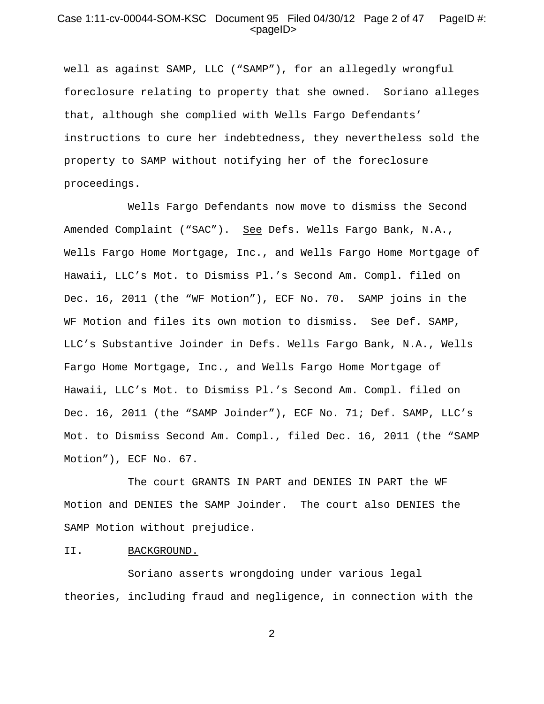## Case 1:11-cv-00044-SOM-KSC Document 95 Filed 04/30/12 Page 2 of 47 PageID #:  $<$ pageID $>$

well as against SAMP, LLC ("SAMP"), for an allegedly wrongful foreclosure relating to property that she owned. Soriano alleges that, although she complied with Wells Fargo Defendants' instructions to cure her indebtedness, they nevertheless sold the property to SAMP without notifying her of the foreclosure proceedings.

Wells Fargo Defendants now move to dismiss the Second Amended Complaint ("SAC"). See Defs. Wells Fargo Bank, N.A., Wells Fargo Home Mortgage, Inc., and Wells Fargo Home Mortgage of Hawaii, LLC's Mot. to Dismiss Pl.'s Second Am. Compl. filed on Dec. 16, 2011 (the "WF Motion"), ECF No. 70. SAMP joins in the WF Motion and files its own motion to dismiss. See Def. SAMP, LLC's Substantive Joinder in Defs. Wells Fargo Bank, N.A., Wells Fargo Home Mortgage, Inc., and Wells Fargo Home Mortgage of Hawaii, LLC's Mot. to Dismiss Pl.'s Second Am. Compl. filed on Dec. 16, 2011 (the "SAMP Joinder"), ECF No. 71; Def. SAMP, LLC's Mot. to Dismiss Second Am. Compl., filed Dec. 16, 2011 (the "SAMP Motion"), ECF No. 67.

The court GRANTS IN PART and DENIES IN PART the WF Motion and DENIES the SAMP Joinder. The court also DENIES the SAMP Motion without prejudice.

#### II. BACKGROUND.

Soriano asserts wrongdoing under various legal theories, including fraud and negligence, in connection with the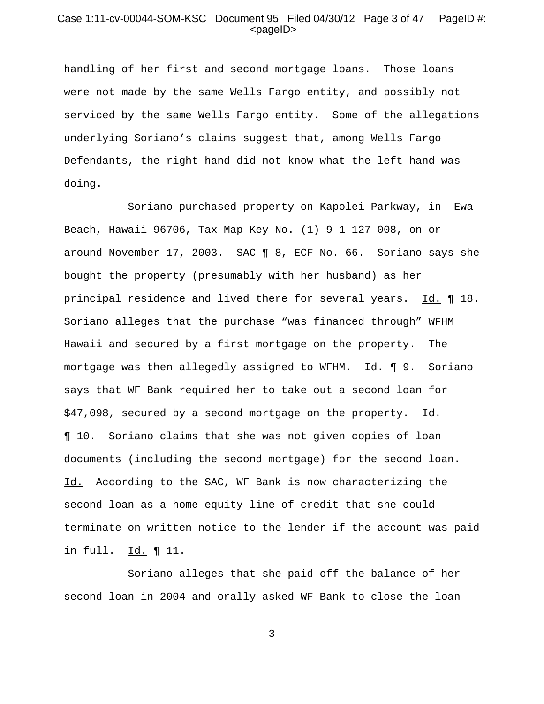## Case 1:11-cv-00044-SOM-KSC Document 95 Filed 04/30/12 Page 3 of 47 PageID #: <pageID>

handling of her first and second mortgage loans. Those loans were not made by the same Wells Fargo entity, and possibly not serviced by the same Wells Fargo entity. Some of the allegations underlying Soriano's claims suggest that, among Wells Fargo Defendants, the right hand did not know what the left hand was doing.

Soriano purchased property on Kapolei Parkway, in Ewa Beach, Hawaii 96706, Tax Map Key No. (1) 9-1-127-008, on or around November 17, 2003. SAC ¶ 8, ECF No. 66. Soriano says she bought the property (presumably with her husband) as her principal residence and lived there for several years. Id. ¶ 18. Soriano alleges that the purchase "was financed through" WFHM Hawaii and secured by a first mortgage on the property. The mortgage was then allegedly assigned to WFHM. Id. ¶ 9. Soriano says that WF Bank required her to take out a second loan for \$47,098, secured by a second mortgage on the property. Id. ¶ 10. Soriano claims that she was not given copies of loan documents (including the second mortgage) for the second loan. Id. According to the SAC, WF Bank is now characterizing the second loan as a home equity line of credit that she could terminate on written notice to the lender if the account was paid in full. Id. 11.

Soriano alleges that she paid off the balance of her second loan in 2004 and orally asked WF Bank to close the loan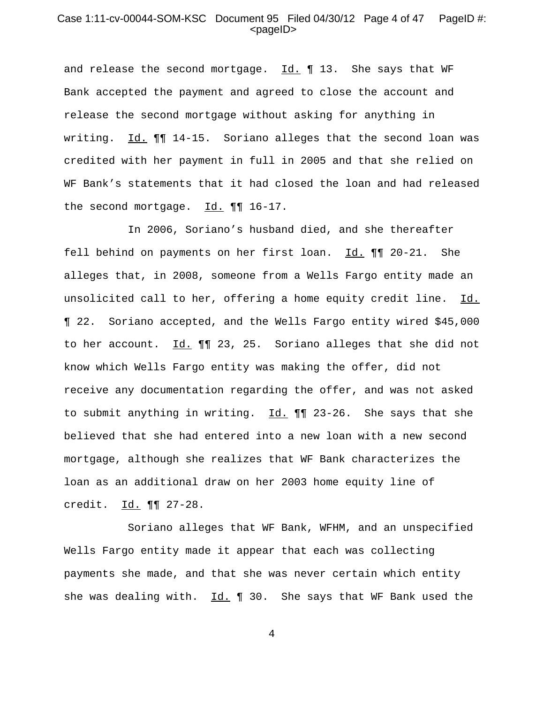## Case 1:11-cv-00044-SOM-KSC Document 95 Filed 04/30/12 Page 4 of 47 PageID #: <pageID>

and release the second mortgage. Id. ¶ 13. She says that WF Bank accepted the payment and agreed to close the account and release the second mortgage without asking for anything in writing. Id. ¶¶ 14-15. Soriano alleges that the second loan was credited with her payment in full in 2005 and that she relied on WF Bank's statements that it had closed the loan and had released the second mortgage.  $\underline{Id.}$  ¶ 16-17.

In 2006, Soriano's husband died, and she thereafter fell behind on payments on her first loan. Id. ¶¶ 20-21. She alleges that, in 2008, someone from a Wells Fargo entity made an unsolicited call to her, offering a home equity credit line. Id. ¶ 22. Soriano accepted, and the Wells Fargo entity wired \$45,000 to her account. Id. ¶¶ 23, 25. Soriano alleges that she did not know which Wells Fargo entity was making the offer, did not receive any documentation regarding the offer, and was not asked to submit anything in writing. Id.  $\P\P$  23-26. She says that she believed that she had entered into a new loan with a new second mortgage, although she realizes that WF Bank characterizes the loan as an additional draw on her 2003 home equity line of credit. Id. ¶¶ 27-28.

Soriano alleges that WF Bank, WFHM, and an unspecified Wells Fargo entity made it appear that each was collecting payments she made, and that she was never certain which entity she was dealing with.  $Id. \P 30.$  She says that WF Bank used the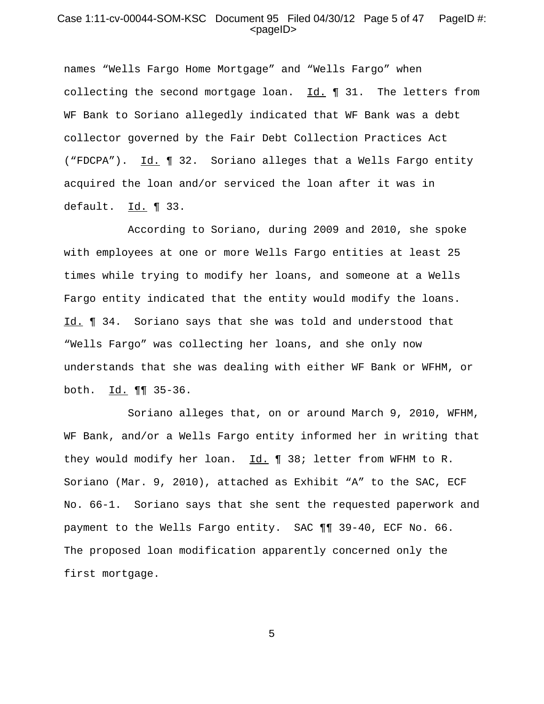## Case 1:11-cv-00044-SOM-KSC Document 95 Filed 04/30/12 Page 5 of 47 PageID #:  $<$ pageID $>$

names "Wells Fargo Home Mortgage" and "Wells Fargo" when collecting the second mortgage loan.  $Id. \P 31.$  The letters from WF Bank to Soriano allegedly indicated that WF Bank was a debt collector governed by the Fair Debt Collection Practices Act ("FDCPA"). Id. ¶ 32. Soriano alleges that a Wells Fargo entity acquired the loan and/or serviced the loan after it was in default.  $Id. \parallel 33.$ 

According to Soriano, during 2009 and 2010, she spoke with employees at one or more Wells Fargo entities at least 25 times while trying to modify her loans, and someone at a Wells Fargo entity indicated that the entity would modify the loans. Id. **1** 34. Soriano says that she was told and understood that "Wells Fargo" was collecting her loans, and she only now understands that she was dealing with either WF Bank or WFHM, or both. Id. 11 35-36.

Soriano alleges that, on or around March 9, 2010, WFHM, WF Bank, and/or a Wells Fargo entity informed her in writing that they would modify her loan.  $Id. \P 38$ ; letter from WFHM to R. Soriano (Mar. 9, 2010), attached as Exhibit "A" to the SAC, ECF No. 66-1. Soriano says that she sent the requested paperwork and payment to the Wells Fargo entity. SAC ¶¶ 39-40, ECF No. 66. The proposed loan modification apparently concerned only the first mortgage.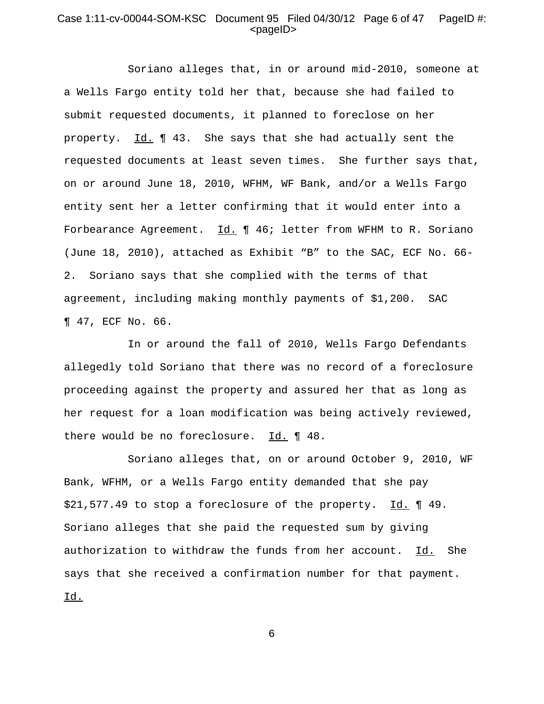## Case 1:11-cv-00044-SOM-KSC Document 95 Filed 04/30/12 Page 6 of 47 PageID #:  $<$ pageID $>$

Soriano alleges that, in or around mid-2010, someone at a Wells Fargo entity told her that, because she had failed to submit requested documents, it planned to foreclose on her property. Id. ¶ 43. She says that she had actually sent the requested documents at least seven times. She further says that, on or around June 18, 2010, WFHM, WF Bank, and/or a Wells Fargo entity sent her a letter confirming that it would enter into a Forbearance Agreement. Id. 1 46; letter from WFHM to R. Soriano (June 18, 2010), attached as Exhibit "B" to the SAC, ECF No. 66- 2. Soriano says that she complied with the terms of that agreement, including making monthly payments of \$1,200. SAC ¶ 47, ECF No. 66.

In or around the fall of 2010, Wells Fargo Defendants allegedly told Soriano that there was no record of a foreclosure proceeding against the property and assured her that as long as her request for a loan modification was being actively reviewed, there would be no foreclosure. Id. ¶ 48.

Soriano alleges that, on or around October 9, 2010, WF Bank, WFHM, or a Wells Fargo entity demanded that she pay \$21,577.49 to stop a foreclosure of the property. Id. ¶ 49. Soriano alleges that she paid the requested sum by giving authorization to withdraw the funds from her account. Id. She says that she received a confirmation number for that payment. Id.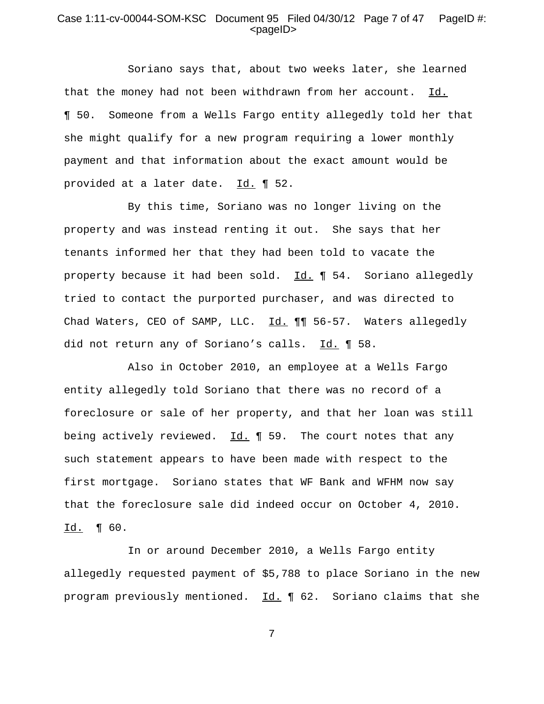## Case 1:11-cv-00044-SOM-KSC Document 95 Filed 04/30/12 Page 7 of 47 PageID #:  $<$ pageID $>$

Soriano says that, about two weeks later, she learned that the money had not been withdrawn from her account.  $Id.$ ¶ 50. Someone from a Wells Fargo entity allegedly told her that she might qualify for a new program requiring a lower monthly payment and that information about the exact amount would be provided at a later date. Id. 1 52.

By this time, Soriano was no longer living on the property and was instead renting it out. She says that her tenants informed her that they had been told to vacate the property because it had been sold. Id. ¶ 54. Soriano allegedly tried to contact the purported purchaser, and was directed to Chad Waters, CEO of SAMP, LLC. Id. 11 56-57. Waters allegedly did not return any of Soriano's calls. Id. ¶ 58.

Also in October 2010, an employee at a Wells Fargo entity allegedly told Soriano that there was no record of a foreclosure or sale of her property, and that her loan was still being actively reviewed.  $Id. \P 59.$  The court notes that any such statement appears to have been made with respect to the first mortgage. Soriano states that WF Bank and WFHM now say that the foreclosure sale did indeed occur on October 4, 2010. Id. ¶ 60.

In or around December 2010, a Wells Fargo entity allegedly requested payment of \$5,788 to place Soriano in the new program previously mentioned. Id. 1 62. Soriano claims that she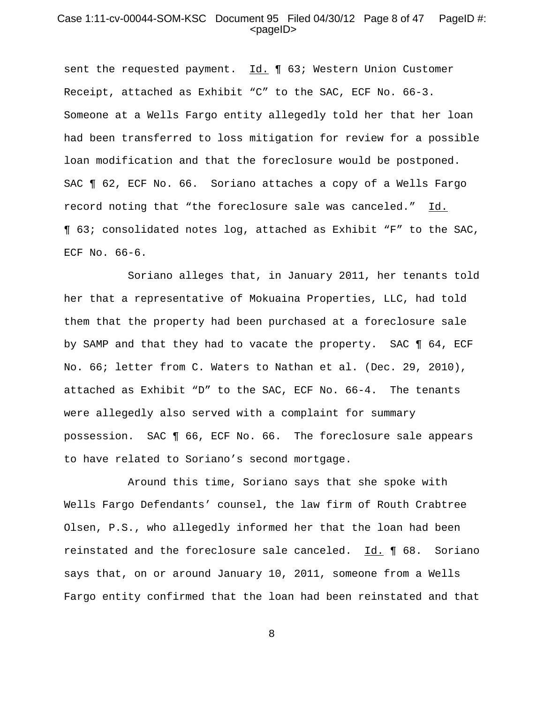### Case 1:11-cv-00044-SOM-KSC Document 95 Filed 04/30/12 Page 8 of 47 PageID #:  $<$ pageID $>$

sent the requested payment. Id. 1 63; Western Union Customer Receipt, attached as Exhibit "C" to the SAC, ECF No. 66-3. Someone at a Wells Fargo entity allegedly told her that her loan had been transferred to loss mitigation for review for a possible loan modification and that the foreclosure would be postponed. SAC ¶ 62, ECF No. 66. Soriano attaches a copy of a Wells Fargo record noting that "the foreclosure sale was canceled." Id. ¶ 63; consolidated notes log, attached as Exhibit "F" to the SAC, ECF No. 66-6.

Soriano alleges that, in January 2011, her tenants told her that a representative of Mokuaina Properties, LLC, had told them that the property had been purchased at a foreclosure sale by SAMP and that they had to vacate the property. SAC ¶ 64, ECF No. 66; letter from C. Waters to Nathan et al. (Dec. 29, 2010), attached as Exhibit "D" to the SAC, ECF No. 66-4. The tenants were allegedly also served with a complaint for summary possession. SAC ¶ 66, ECF No. 66. The foreclosure sale appears to have related to Soriano's second mortgage.

Around this time, Soriano says that she spoke with Wells Fargo Defendants' counsel, the law firm of Routh Crabtree Olsen, P.S., who allegedly informed her that the loan had been reinstated and the foreclosure sale canceled. Id. 1 68. Soriano says that, on or around January 10, 2011, someone from a Wells Fargo entity confirmed that the loan had been reinstated and that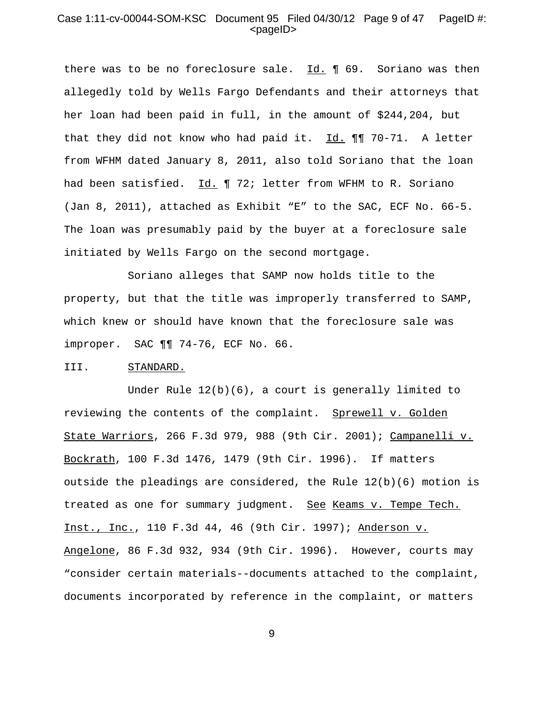### Case 1:11-cv-00044-SOM-KSC Document 95 Filed 04/30/12 Page 9 of 47 PageID #:  $<$ pageID $>$

there was to be no foreclosure sale. Id. ¶ 69. Soriano was then allegedly told by Wells Fargo Defendants and their attorneys that her loan had been paid in full, in the amount of \$244,204, but that they did not know who had paid it. Id. ¶¶ 70-71. A letter from WFHM dated January 8, 2011, also told Soriano that the loan had been satisfied. Id. ¶ 72; letter from WFHM to R. Soriano (Jan 8, 2011), attached as Exhibit "E" to the SAC, ECF No. 66-5. The loan was presumably paid by the buyer at a foreclosure sale initiated by Wells Fargo on the second mortgage.

Soriano alleges that SAMP now holds title to the property, but that the title was improperly transferred to SAMP, which knew or should have known that the foreclosure sale was improper. SAC ¶¶ 74-76, ECF No. 66.

#### III. STANDARD.

Under Rule  $12(b)(6)$ , a court is generally limited to reviewing the contents of the complaint. Sprewell v. Golden State Warriors, 266 F.3d 979, 988 (9th Cir. 2001); Campanelli v. Bockrath, 100 F.3d 1476, 1479 (9th Cir. 1996). If matters outside the pleadings are considered, the Rule 12(b)(6) motion is treated as one for summary judgment. See Keams v. Tempe Tech. Inst., Inc., 110 F.3d 44, 46 (9th Cir. 1997); Anderson v. Angelone, 86 F.3d 932, 934 (9th Cir. 1996). However, courts may "consider certain materials--documents attached to the complaint, documents incorporated by reference in the complaint, or matters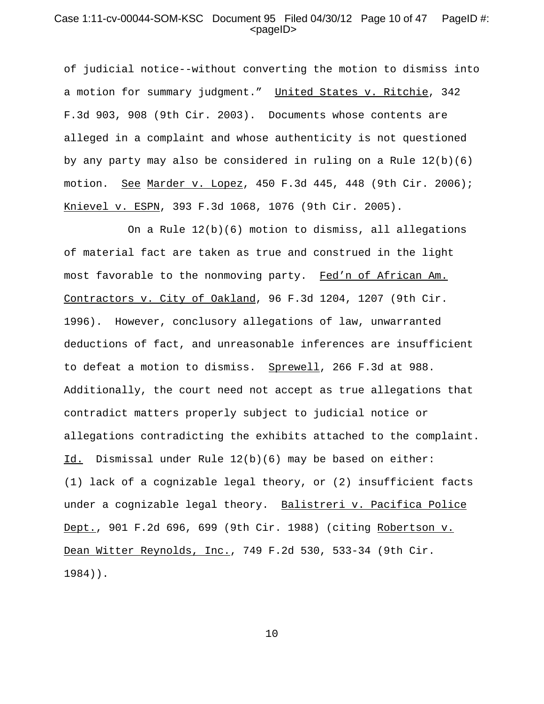### Case 1:11-cv-00044-SOM-KSC Document 95 Filed 04/30/12 Page 10 of 47 PageID #:  $<$ pageID $>$

of judicial notice--without converting the motion to dismiss into a motion for summary judgment." United States v. Ritchie, 342 F.3d 903, 908 (9th Cir. 2003). Documents whose contents are alleged in a complaint and whose authenticity is not questioned by any party may also be considered in ruling on a Rule 12(b)(6) motion. See Marder v. Lopez, 450 F.3d 445, 448 (9th Cir. 2006); Knievel v. ESPN, 393 F.3d 1068, 1076 (9th Cir. 2005).

On a Rule  $12(b)(6)$  motion to dismiss, all allegations of material fact are taken as true and construed in the light most favorable to the nonmoving party. Fed'n of African Am. Contractors v. City of Oakland, 96 F.3d 1204, 1207 (9th Cir. 1996). However, conclusory allegations of law, unwarranted deductions of fact, and unreasonable inferences are insufficient to defeat a motion to dismiss. Sprewell, 266 F.3d at 988. Additionally, the court need not accept as true allegations that contradict matters properly subject to judicial notice or allegations contradicting the exhibits attached to the complaint. Id. Dismissal under Rule 12(b)(6) may be based on either: (1) lack of a cognizable legal theory, or (2) insufficient facts under a cognizable legal theory. Balistreri v. Pacifica Police Dept., 901 F.2d 696, 699 (9th Cir. 1988) (citing Robertson v. Dean Witter Reynolds, Inc., 749 F.2d 530, 533-34 (9th Cir. 1984)).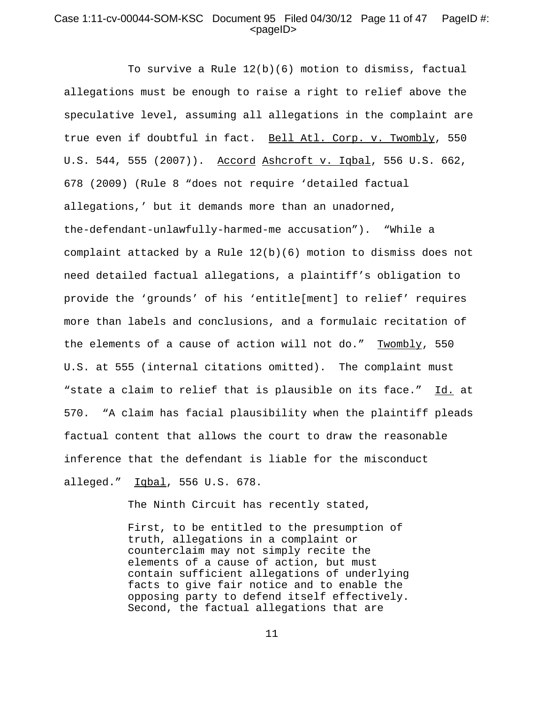## Case 1:11-cv-00044-SOM-KSC Document 95 Filed 04/30/12 Page 11 of 47 PageID #: <pageID>

To survive a Rule  $12(b)(6)$  motion to dismiss, factual allegations must be enough to raise a right to relief above the speculative level, assuming all allegations in the complaint are true even if doubtful in fact. Bell Atl. Corp. v. Twombly, 550 U.S. 544, 555 (2007)). Accord Ashcroft v. Iqbal, 556 U.S. 662, 678 (2009) (Rule 8 "does not require 'detailed factual allegations,' but it demands more than an unadorned, the-defendant-unlawfully-harmed-me accusation"). "While a complaint attacked by a Rule  $12(b)(6)$  motion to dismiss does not need detailed factual allegations, a plaintiff's obligation to provide the 'grounds' of his 'entitle[ment] to relief' requires more than labels and conclusions, and a formulaic recitation of the elements of a cause of action will not do." Twombly, 550 U.S. at 555 (internal citations omitted). The complaint must "state a claim to relief that is plausible on its face." Id. at 570. "A claim has facial plausibility when the plaintiff pleads factual content that allows the court to draw the reasonable inference that the defendant is liable for the misconduct alleged." Iqbal, 556 U.S. 678.

The Ninth Circuit has recently stated,

First, to be entitled to the presumption of truth, allegations in a complaint or counterclaim may not simply recite the elements of a cause of action, but must contain sufficient allegations of underlying facts to give fair notice and to enable the opposing party to defend itself effectively. Second, the factual allegations that are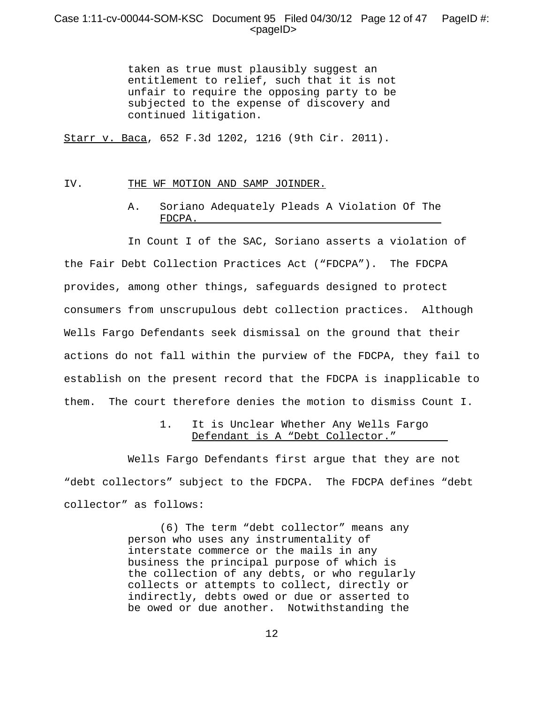## Case 1:11-cv-00044-SOM-KSC Document 95 Filed 04/30/12 Page 12 of 47 PageID #: <pageID>

taken as true must plausibly suggest an entitlement to relief, such that it is not unfair to require the opposing party to be subjected to the expense of discovery and continued litigation.

Starr v. Baca, 652 F.3d 1202, 1216 (9th Cir. 2011).

#### IV. THE WF MOTION AND SAMP JOINDER.

A. Soriano Adequately Pleads A Violation Of The FDCPA.

In Count I of the SAC, Soriano asserts a violation of the Fair Debt Collection Practices Act ("FDCPA"). The FDCPA provides, among other things, safeguards designed to protect consumers from unscrupulous debt collection practices. Although Wells Fargo Defendants seek dismissal on the ground that their actions do not fall within the purview of the FDCPA, they fail to establish on the present record that the FDCPA is inapplicable to them. The court therefore denies the motion to dismiss Count I.

> 1. It is Unclear Whether Any Wells Fargo Defendant is A "Debt Collector."

Wells Fargo Defendants first argue that they are not "debt collectors" subject to the FDCPA. The FDCPA defines "debt collector" as follows:

> (6) The term "debt collector" means any person who uses any instrumentality of interstate commerce or the mails in any business the principal purpose of which is the collection of any debts, or who regularly collects or attempts to collect, directly or indirectly, debts owed or due or asserted to be owed or due another. Notwithstanding the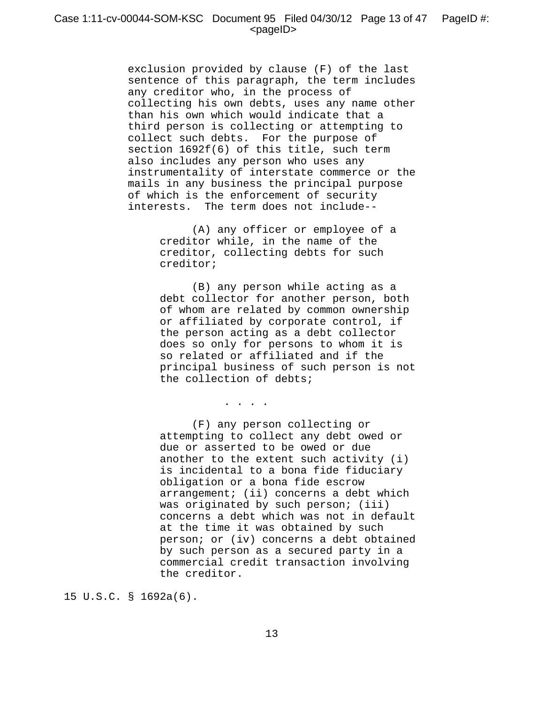exclusion provided by clause (F) of the last sentence of this paragraph, the term includes any creditor who, in the process of collecting his own debts, uses any name other than his own which would indicate that a third person is collecting or attempting to collect such debts. For the purpose of section 1692f(6) of this title, such term also includes any person who uses any instrumentality of interstate commerce or the mails in any business the principal purpose of which is the enforcement of security interests. The term does not include--

> (A) any officer or employee of a creditor while, in the name of the creditor, collecting debts for such creditor;

 (B) any person while acting as a debt collector for another person, both of whom are related by common ownership or affiliated by corporate control, if the person acting as a debt collector does so only for persons to whom it is so related or affiliated and if the principal business of such person is not the collection of debts;

. . . .

 (F) any person collecting or attempting to collect any debt owed or due or asserted to be owed or due another to the extent such activity (i) is incidental to a bona fide fiduciary obligation or a bona fide escrow arrangement; (ii) concerns a debt which was originated by such person; (iii) concerns a debt which was not in default at the time it was obtained by such person; or (iv) concerns a debt obtained by such person as a secured party in a commercial credit transaction involving the creditor.

15 U.S.C. § 1692a(6).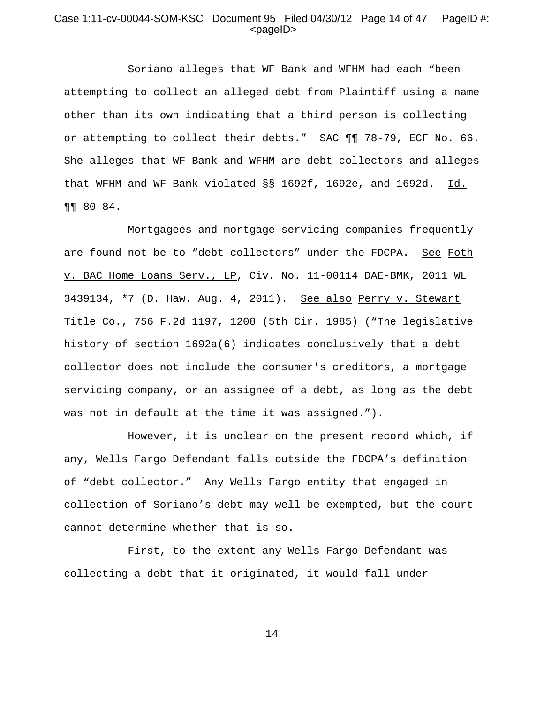## Case 1:11-cv-00044-SOM-KSC Document 95 Filed 04/30/12 Page 14 of 47 PageID #:  $<$ pageID $>$

Soriano alleges that WF Bank and WFHM had each "been attempting to collect an alleged debt from Plaintiff using a name other than its own indicating that a third person is collecting or attempting to collect their debts." SAC ¶¶ 78-79, ECF No. 66. She alleges that WF Bank and WFHM are debt collectors and alleges that WFHM and WF Bank violated  $\S$ § 1692f, 1692e, and 1692d.  $\underline{Id.}$  $\P\P$  80-84.

Mortgagees and mortgage servicing companies frequently are found not be to "debt collectors" under the FDCPA. See Foth v. BAC Home Loans Serv., LP, Civ. No. 11-00114 DAE-BMK, 2011 WL 3439134, \*7 (D. Haw. Aug. 4, 2011). See also Perry v. Stewart Title Co., 756 F.2d 1197, 1208 (5th Cir. 1985) ("The legislative history of section 1692a(6) indicates conclusively that a debt collector does not include the consumer's creditors, a mortgage servicing company, or an assignee of a debt, as long as the debt was not in default at the time it was assigned.").

However, it is unclear on the present record which, if any, Wells Fargo Defendant falls outside the FDCPA's definition of "debt collector." Any Wells Fargo entity that engaged in collection of Soriano's debt may well be exempted, but the court cannot determine whether that is so.

First, to the extent any Wells Fargo Defendant was collecting a debt that it originated, it would fall under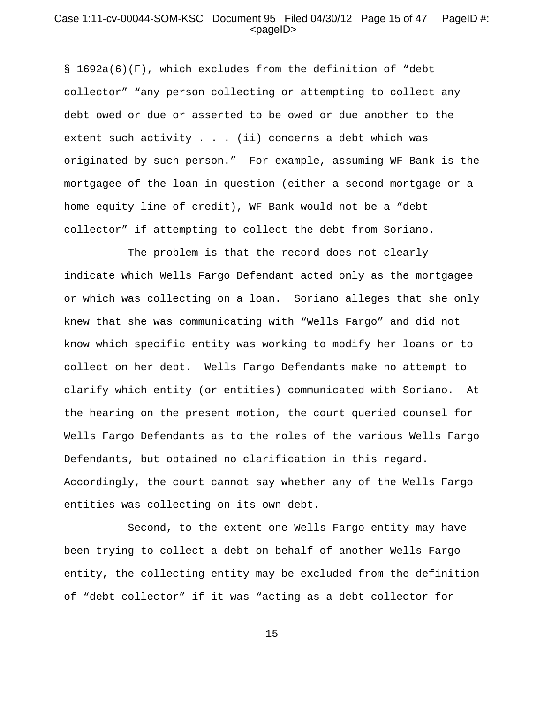#### Case 1:11-cv-00044-SOM-KSC Document 95 Filed 04/30/12 Page 15 of 47 PageID #: <pageID>

§ 1692a(6)(F), which excludes from the definition of "debt collector" "any person collecting or attempting to collect any debt owed or due or asserted to be owed or due another to the extent such activity . . . (ii) concerns a debt which was originated by such person." For example, assuming WF Bank is the mortgagee of the loan in question (either a second mortgage or a home equity line of credit), WF Bank would not be a "debt collector" if attempting to collect the debt from Soriano.

The problem is that the record does not clearly indicate which Wells Fargo Defendant acted only as the mortgagee or which was collecting on a loan. Soriano alleges that she only knew that she was communicating with "Wells Fargo" and did not know which specific entity was working to modify her loans or to collect on her debt. Wells Fargo Defendants make no attempt to clarify which entity (or entities) communicated with Soriano. At the hearing on the present motion, the court queried counsel for Wells Fargo Defendants as to the roles of the various Wells Fargo Defendants, but obtained no clarification in this regard. Accordingly, the court cannot say whether any of the Wells Fargo entities was collecting on its own debt.

Second, to the extent one Wells Fargo entity may have been trying to collect a debt on behalf of another Wells Fargo entity, the collecting entity may be excluded from the definition of "debt collector" if it was "acting as a debt collector for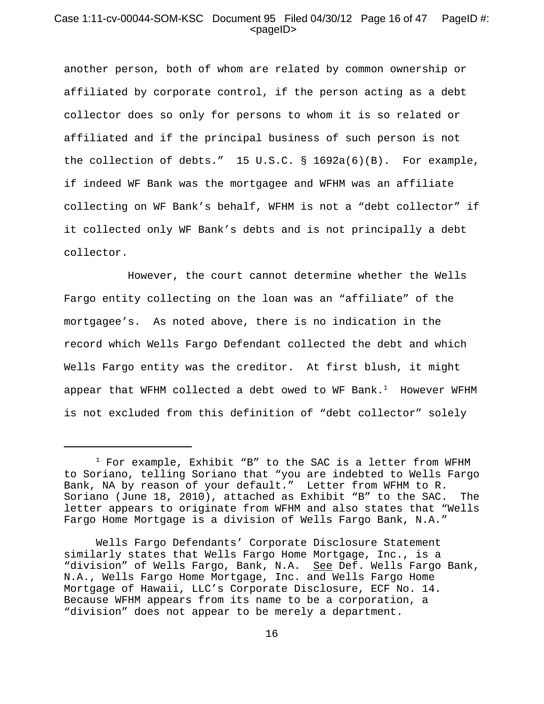## Case 1:11-cv-00044-SOM-KSC Document 95 Filed 04/30/12 Page 16 of 47 PageID #: <pageID>

another person, both of whom are related by common ownership or affiliated by corporate control, if the person acting as a debt collector does so only for persons to whom it is so related or affiliated and if the principal business of such person is not the collection of debts." 15 U.S.C. § 1692a(6)(B). For example, if indeed WF Bank was the mortgagee and WFHM was an affiliate collecting on WF Bank's behalf, WFHM is not a "debt collector" if it collected only WF Bank's debts and is not principally a debt collector.

However, the court cannot determine whether the Wells Fargo entity collecting on the loan was an "affiliate" of the mortgagee's. As noted above, there is no indication in the record which Wells Fargo Defendant collected the debt and which Wells Fargo entity was the creditor. At first blush, it might appear that WFHM collected a debt owed to WF Bank.<sup>1</sup> However WFHM is not excluded from this definition of "debt collector" solely

 $^1$  For example, Exhibit "B" to the SAC is a letter from WFHM to Soriano, telling Soriano that "you are indebted to Wells Fargo Bank, NA by reason of your default." Letter from WFHM to R. Soriano (June 18, 2010), attached as Exhibit "B" to the SAC. The letter appears to originate from WFHM and also states that "Wells Fargo Home Mortgage is a division of Wells Fargo Bank, N.A."

Wells Fargo Defendants' Corporate Disclosure Statement similarly states that Wells Fargo Home Mortgage, Inc., is a "division" of Wells Fargo, Bank, N.A. <u>See</u> Def. Wells Fargo Bank, N.A., Wells Fargo Home Mortgage, Inc. and Wells Fargo Home Mortgage of Hawaii, LLC's Corporate Disclosure, ECF No. 14. Because WFHM appears from its name to be a corporation, a "division" does not appear to be merely a department.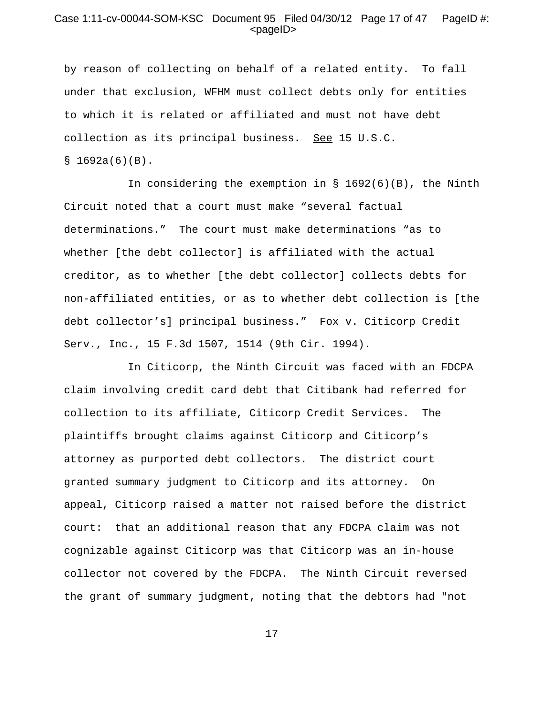## Case 1:11-cv-00044-SOM-KSC Document 95 Filed 04/30/12 Page 17 of 47 PageID #:  $<$ pageID $>$

by reason of collecting on behalf of a related entity. To fall under that exclusion, WFHM must collect debts only for entities to which it is related or affiliated and must not have debt collection as its principal business. See 15 U.S.C.  $$1692a(6)(B).$ 

In considering the exemption in § 1692(6)(B), the Ninth Circuit noted that a court must make "several factual determinations." The court must make determinations "as to whether [the debt collector] is affiliated with the actual creditor, as to whether [the debt collector] collects debts for non-affiliated entities, or as to whether debt collection is [the debt collector's] principal business." Fox v. Citicorp Credit Serv., Inc., 15 F.3d 1507, 1514 (9th Cir. 1994).

In Citicorp, the Ninth Circuit was faced with an FDCPA claim involving credit card debt that Citibank had referred for collection to its affiliate, Citicorp Credit Services. The plaintiffs brought claims against Citicorp and Citicorp's attorney as purported debt collectors. The district court granted summary judgment to Citicorp and its attorney. On appeal, Citicorp raised a matter not raised before the district court: that an additional reason that any FDCPA claim was not cognizable against Citicorp was that Citicorp was an in-house collector not covered by the FDCPA. The Ninth Circuit reversed the grant of summary judgment, noting that the debtors had "not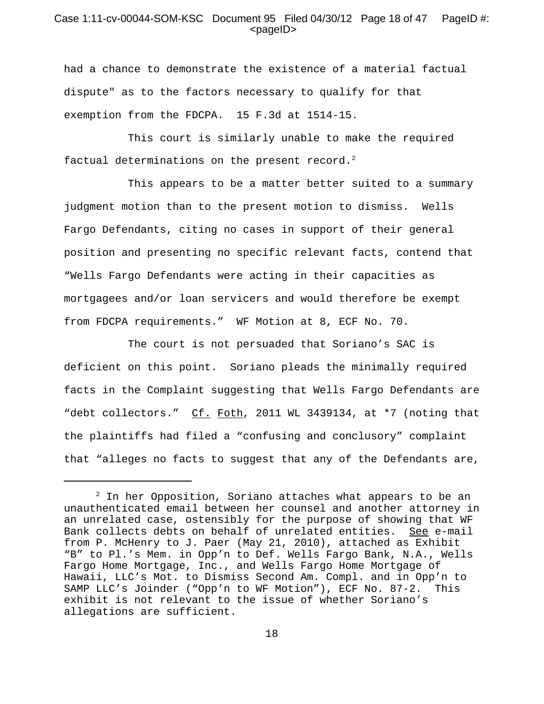#### Case 1:11-cv-00044-SOM-KSC Document 95 Filed 04/30/12 Page 18 of 47 PageID #: <pageID>

had a chance to demonstrate the existence of a material factual dispute" as to the factors necessary to qualify for that exemption from the FDCPA. 15 F.3d at 1514-15.

This court is similarly unable to make the required factual determinations on the present record. $2$ 

This appears to be a matter better suited to a summary judgment motion than to the present motion to dismiss. Wells Fargo Defendants, citing no cases in support of their general position and presenting no specific relevant facts, contend that "Wells Fargo Defendants were acting in their capacities as mortgagees and/or loan servicers and would therefore be exempt from FDCPA requirements." WF Motion at 8, ECF No. 70.

The court is not persuaded that Soriano's SAC is deficient on this point. Soriano pleads the minimally required facts in the Complaint suggesting that Wells Fargo Defendants are "debt collectors." Cf. Foth, 2011 WL 3439134, at \*7 (noting that the plaintiffs had filed a "confusing and conclusory" complaint that "alleges no facts to suggest that any of the Defendants are,

 $^2$  In her Opposition, Soriano attaches what appears to be an unauthenticated email between her counsel and another attorney in an unrelated case, ostensibly for the purpose of showing that WF Bank collects debts on behalf of unrelated entities. See e-mail from P. McHenry to J. Paer (May 21, 2010), attached as Exhibit "B" to Pl.'s Mem. in Opp'n to Def. Wells Fargo Bank, N.A., Wells Fargo Home Mortgage, Inc., and Wells Fargo Home Mortgage of Hawaii, LLC's Mot. to Dismiss Second Am. Compl. and in Opp'n to SAMP LLC's Joinder ("Opp'n to WF Motion"), ECF No. 87-2. This exhibit is not relevant to the issue of whether Soriano's allegations are sufficient.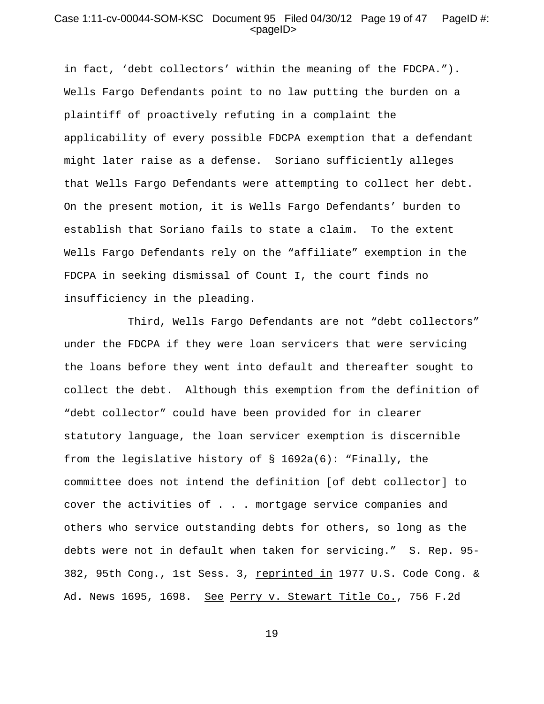#### Case 1:11-cv-00044-SOM-KSC Document 95 Filed 04/30/12 Page 19 of 47 PageID #: <pageID>

in fact, 'debt collectors' within the meaning of the FDCPA."). Wells Fargo Defendants point to no law putting the burden on a plaintiff of proactively refuting in a complaint the applicability of every possible FDCPA exemption that a defendant might later raise as a defense. Soriano sufficiently alleges that Wells Fargo Defendants were attempting to collect her debt. On the present motion, it is Wells Fargo Defendants' burden to establish that Soriano fails to state a claim. To the extent Wells Fargo Defendants rely on the "affiliate" exemption in the FDCPA in seeking dismissal of Count I, the court finds no insufficiency in the pleading.

Third, Wells Fargo Defendants are not "debt collectors" under the FDCPA if they were loan servicers that were servicing the loans before they went into default and thereafter sought to collect the debt. Although this exemption from the definition of "debt collector" could have been provided for in clearer statutory language, the loan servicer exemption is discernible from the legislative history of § 1692a(6): "Finally, the committee does not intend the definition [of debt collector] to cover the activities of . . . mortgage service companies and others who service outstanding debts for others, so long as the debts were not in default when taken for servicing." S. Rep. 95- 382, 95th Cong., 1st Sess. 3, reprinted in 1977 U.S. Code Cong. & Ad. News 1695, 1698. See Perry v. Stewart Title Co., 756 F.2d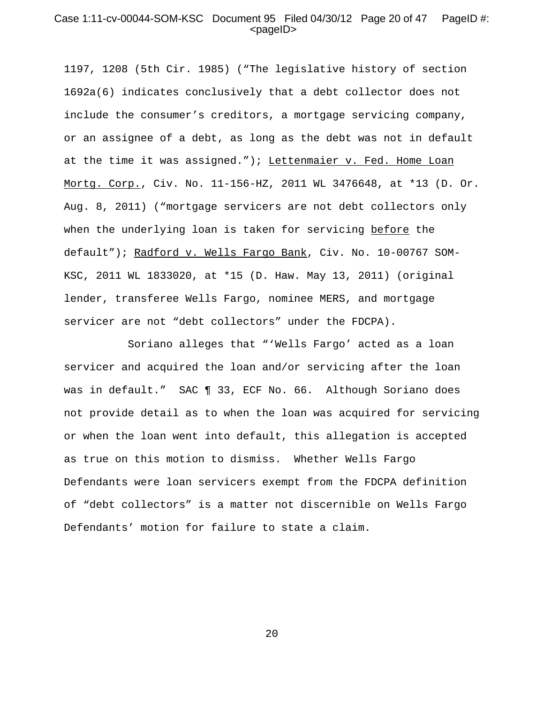## Case 1:11-cv-00044-SOM-KSC Document 95 Filed 04/30/12 Page 20 of 47 PageID #:  $<$ pageID $>$

1197, 1208 (5th Cir. 1985) ("The legislative history of section 1692a(6) indicates conclusively that a debt collector does not include the consumer's creditors, a mortgage servicing company, or an assignee of a debt, as long as the debt was not in default at the time it was assigned."); Lettenmaier v. Fed. Home Loan Mortg. Corp., Civ. No. 11-156-HZ, 2011 WL 3476648, at \*13 (D. Or. Aug. 8, 2011) ("mortgage servicers are not debt collectors only when the underlying loan is taken for servicing before the default"); Radford v. Wells Fargo Bank, Civ. No. 10-00767 SOM-KSC, 2011 WL 1833020, at \*15 (D. Haw. May 13, 2011) (original lender, transferee Wells Fargo, nominee MERS, and mortgage servicer are not "debt collectors" under the FDCPA).

Soriano alleges that "'Wells Fargo' acted as a loan servicer and acquired the loan and/or servicing after the loan was in default." SAC ¶ 33, ECF No. 66. Although Soriano does not provide detail as to when the loan was acquired for servicing or when the loan went into default, this allegation is accepted as true on this motion to dismiss. Whether Wells Fargo Defendants were loan servicers exempt from the FDCPA definition of "debt collectors" is a matter not discernible on Wells Fargo Defendants' motion for failure to state a claim.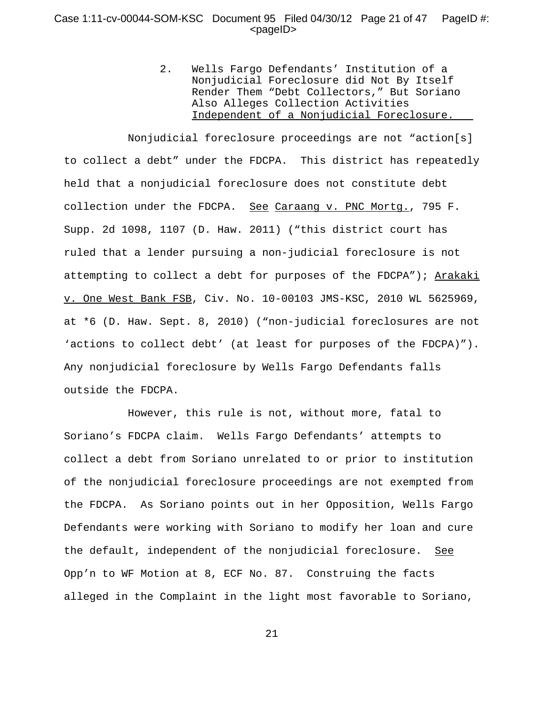#### Case 1:11-cv-00044-SOM-KSC Document 95 Filed 04/30/12 Page 21 of 47 PageID #: <pageID>

2. Wells Fargo Defendants' Institution of a Nonjudicial Foreclosure did Not By Itself Render Them "Debt Collectors," But Soriano Also Alleges Collection Activities Independent of a Nonjudicial Foreclosure.

Nonjudicial foreclosure proceedings are not "action[s] to collect a debt" under the FDCPA. This district has repeatedly held that a nonjudicial foreclosure does not constitute debt collection under the FDCPA. See Caraang v. PNC Mortg., 795 F. Supp. 2d 1098, 1107 (D. Haw. 2011) ("this district court has ruled that a lender pursuing a non-judicial foreclosure is not attempting to collect a debt for purposes of the FDCPA"); Arakaki v. One West Bank FSB, Civ. No. 10-00103 JMS-KSC, 2010 WL 5625969, at \*6 (D. Haw. Sept. 8, 2010) ("non-judicial foreclosures are not 'actions to collect debt' (at least for purposes of the FDCPA)"). Any nonjudicial foreclosure by Wells Fargo Defendants falls outside the FDCPA.

However, this rule is not, without more, fatal to Soriano's FDCPA claim. Wells Fargo Defendants' attempts to collect a debt from Soriano unrelated to or prior to institution of the nonjudicial foreclosure proceedings are not exempted from the FDCPA. As Soriano points out in her Opposition, Wells Fargo Defendants were working with Soriano to modify her loan and cure the default, independent of the nonjudicial foreclosure. See Opp'n to WF Motion at 8, ECF No. 87. Construing the facts alleged in the Complaint in the light most favorable to Soriano,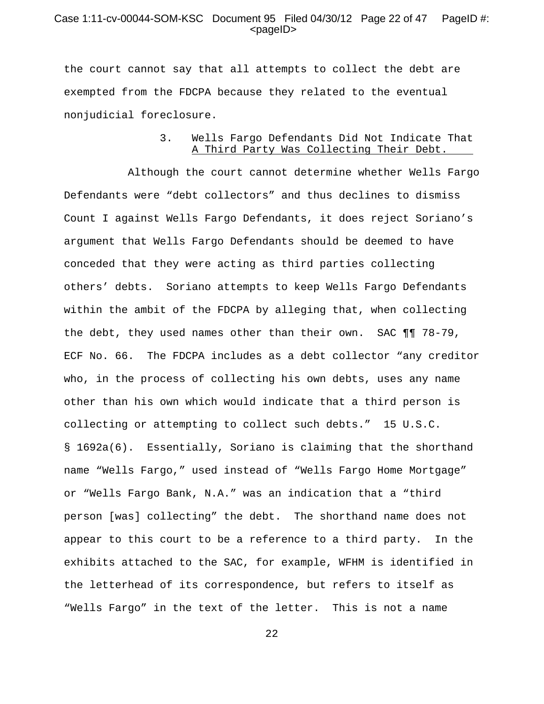#### Case 1:11-cv-00044-SOM-KSC Document 95 Filed 04/30/12 Page 22 of 47 PageID #: <pageID>

the court cannot say that all attempts to collect the debt are exempted from the FDCPA because they related to the eventual nonjudicial foreclosure.

# 3. Wells Fargo Defendants Did Not Indicate That A Third Party Was Collecting Their Debt.

Although the court cannot determine whether Wells Fargo Defendants were "debt collectors" and thus declines to dismiss Count I against Wells Fargo Defendants, it does reject Soriano's argument that Wells Fargo Defendants should be deemed to have conceded that they were acting as third parties collecting others' debts. Soriano attempts to keep Wells Fargo Defendants within the ambit of the FDCPA by alleging that, when collecting the debt, they used names other than their own. SAC ¶¶ 78-79, ECF No. 66. The FDCPA includes as a debt collector "any creditor who, in the process of collecting his own debts, uses any name other than his own which would indicate that a third person is collecting or attempting to collect such debts." 15 U.S.C. § 1692a(6). Essentially, Soriano is claiming that the shorthand name "Wells Fargo," used instead of "Wells Fargo Home Mortgage" or "Wells Fargo Bank, N.A." was an indication that a "third person [was] collecting" the debt. The shorthand name does not appear to this court to be a reference to a third party. In the exhibits attached to the SAC, for example, WFHM is identified in the letterhead of its correspondence, but refers to itself as "Wells Fargo" in the text of the letter. This is not a name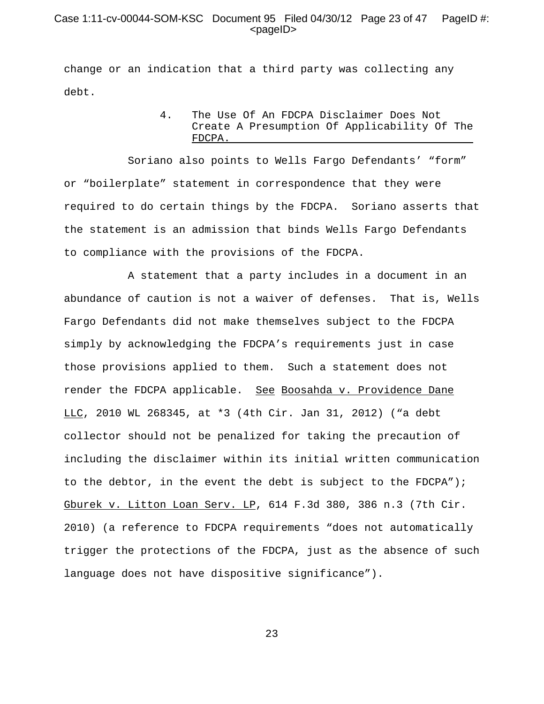## Case 1:11-cv-00044-SOM-KSC Document 95 Filed 04/30/12 Page 23 of 47 PageID #: <pageID>

change or an indication that a third party was collecting any debt.

#### 4. The Use Of An FDCPA Disclaimer Does Not Create A Presumption Of Applicability Of The FDCPA.

Soriano also points to Wells Fargo Defendants' "form" or "boilerplate" statement in correspondence that they were required to do certain things by the FDCPA. Soriano asserts that the statement is an admission that binds Wells Fargo Defendants to compliance with the provisions of the FDCPA.

A statement that a party includes in a document in an abundance of caution is not a waiver of defenses. That is, Wells Fargo Defendants did not make themselves subject to the FDCPA simply by acknowledging the FDCPA's requirements just in case those provisions applied to them. Such a statement does not render the FDCPA applicable. See Boosahda v. Providence Dane LLC, 2010 WL 268345, at \*3 (4th Cir. Jan 31, 2012) ("a debt collector should not be penalized for taking the precaution of including the disclaimer within its initial written communication to the debtor, in the event the debt is subject to the FDCPA"); Gburek v. Litton Loan Serv. LP, 614 F.3d 380, 386 n.3 (7th Cir. 2010) (a reference to FDCPA requirements "does not automatically trigger the protections of the FDCPA, just as the absence of such language does not have dispositive significance").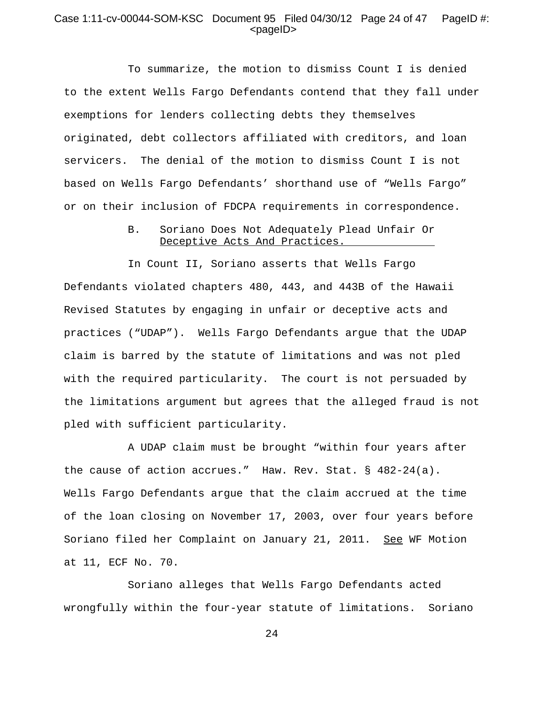#### Case 1:11-cv-00044-SOM-KSC Document 95 Filed 04/30/12 Page 24 of 47 PageID #: <pageID>

To summarize, the motion to dismiss Count I is denied to the extent Wells Fargo Defendants contend that they fall under exemptions for lenders collecting debts they themselves originated, debt collectors affiliated with creditors, and loan servicers. The denial of the motion to dismiss Count I is not based on Wells Fargo Defendants' shorthand use of "Wells Fargo" or on their inclusion of FDCPA requirements in correspondence.

#### B. Soriano Does Not Adequately Plead Unfair Or Deceptive Acts And Practices.

In Count II, Soriano asserts that Wells Fargo Defendants violated chapters 480, 443, and 443B of the Hawaii Revised Statutes by engaging in unfair or deceptive acts and practices ("UDAP"). Wells Fargo Defendants argue that the UDAP claim is barred by the statute of limitations and was not pled with the required particularity. The court is not persuaded by the limitations argument but agrees that the alleged fraud is not pled with sufficient particularity.

A UDAP claim must be brought "within four years after the cause of action accrues." Haw. Rev. Stat. § 482-24(a). Wells Fargo Defendants argue that the claim accrued at the time of the loan closing on November 17, 2003, over four years before Soriano filed her Complaint on January 21, 2011. See WF Motion at 11, ECF No. 70.

Soriano alleges that Wells Fargo Defendants acted wrongfully within the four-year statute of limitations. Soriano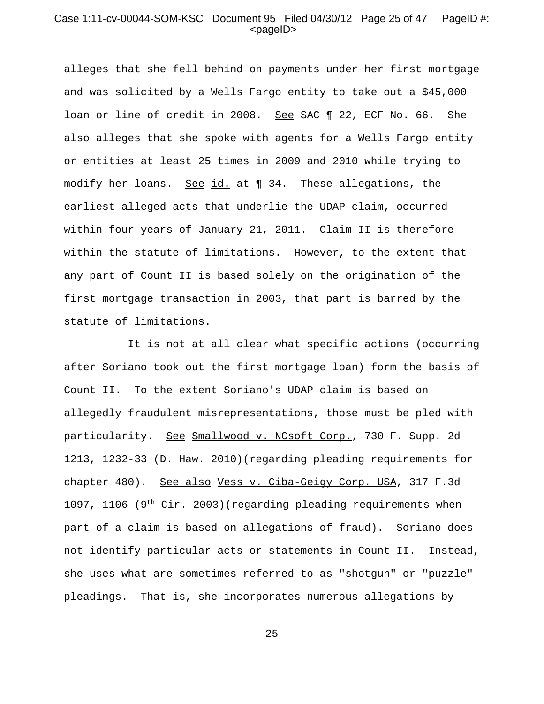#### Case 1:11-cv-00044-SOM-KSC Document 95 Filed 04/30/12 Page 25 of 47 PageID #: <pageID>

alleges that she fell behind on payments under her first mortgage and was solicited by a Wells Fargo entity to take out a \$45,000 loan or line of credit in 2008. See SAC ¶ 22, ECF No. 66. She also alleges that she spoke with agents for a Wells Fargo entity or entities at least 25 times in 2009 and 2010 while trying to modify her loans. See id. at 1 34. These allegations, the earliest alleged acts that underlie the UDAP claim, occurred within four years of January 21, 2011. Claim II is therefore within the statute of limitations. However, to the extent that any part of Count II is based solely on the origination of the first mortgage transaction in 2003, that part is barred by the statute of limitations.

It is not at all clear what specific actions (occurring after Soriano took out the first mortgage loan) form the basis of Count II. To the extent Soriano's UDAP claim is based on allegedly fraudulent misrepresentations, those must be pled with particularity. See Smallwood v. NCsoft Corp., 730 F. Supp. 2d 1213, 1232-33 (D. Haw. 2010)(regarding pleading requirements for chapter 480). See also Vess v. Ciba-Geigy Corp. USA, 317 F.3d 1097, 1106 (9<sup>th</sup> Cir. 2003)(regarding pleading requirements when part of a claim is based on allegations of fraud). Soriano does not identify particular acts or statements in Count II. Instead, she uses what are sometimes referred to as "shotgun" or "puzzle" pleadings. That is, she incorporates numerous allegations by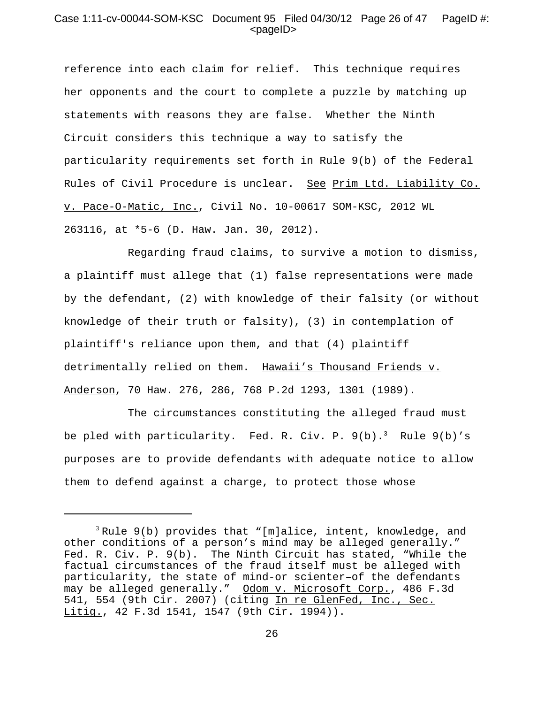## Case 1:11-cv-00044-SOM-KSC Document 95 Filed 04/30/12 Page 26 of 47 PageID #: <pageID>

reference into each claim for relief. This technique requires her opponents and the court to complete a puzzle by matching up statements with reasons they are false. Whether the Ninth Circuit considers this technique a way to satisfy the particularity requirements set forth in Rule 9(b) of the Federal Rules of Civil Procedure is unclear. See Prim Ltd. Liability Co. v. Pace-O-Matic, Inc., Civil No. 10-00617 SOM-KSC, 2012 WL 263116, at \*5-6 (D. Haw. Jan. 30, 2012).

Regarding fraud claims, to survive a motion to dismiss, a plaintiff must allege that (1) false representations were made by the defendant, (2) with knowledge of their falsity (or without knowledge of their truth or falsity), (3) in contemplation of plaintiff's reliance upon them, and that (4) plaintiff detrimentally relied on them. Hawaii's Thousand Friends v. Anderson, 70 Haw. 276, 286, 768 P.2d 1293, 1301 (1989).

The circumstances constituting the alleged fraud must be pled with particularity. Fed. R. Civ. P.  $9(b) \cdot 3$  Rule  $9(b)$ 's purposes are to provide defendants with adequate notice to allow them to defend against a charge, to protect those whose

 $3$  Rule 9(b) provides that "[m]alice, intent, knowledge, and other conditions of a person's mind may be alleged generally." Fed. R. Civ. P. 9(b). The Ninth Circuit has stated, "While the factual circumstances of the fraud itself must be alleged with particularity, the state of mind-or scienter–of the defendants may be alleged generally." Odom v. Microsoft Corp., 486 F.3d 541, 554 (9th Cir. 2007) (citing In re GlenFed, Inc., Sec. Litig., 42 F.3d 1541, 1547 (9th Cir. 1994)).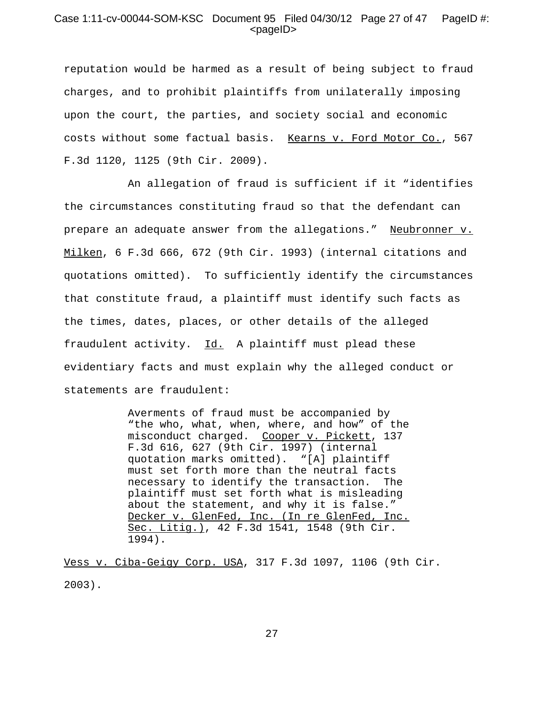## Case 1:11-cv-00044-SOM-KSC Document 95 Filed 04/30/12 Page 27 of 47 PageID #: <pageID>

reputation would be harmed as a result of being subject to fraud charges, and to prohibit plaintiffs from unilaterally imposing upon the court, the parties, and society social and economic costs without some factual basis. Kearns v. Ford Motor Co., 567 F.3d 1120, 1125 (9th Cir. 2009).

An allegation of fraud is sufficient if it "identifies the circumstances constituting fraud so that the defendant can prepare an adequate answer from the allegations." Neubronner v. Milken, 6 F.3d 666, 672 (9th Cir. 1993) (internal citations and quotations omitted). To sufficiently identify the circumstances that constitute fraud, a plaintiff must identify such facts as the times, dates, places, or other details of the alleged fraudulent activity. Id. A plaintiff must plead these evidentiary facts and must explain why the alleged conduct or statements are fraudulent:

> Averments of fraud must be accompanied by "the who, what, when, where, and how" of the misconduct charged. Cooper v. Pickett, 137 F.3d 616, 627 (9th Cir. 1997) (internal quotation marks omitted). "[A] plaintiff must set forth more than the neutral facts necessary to identify the transaction. The plaintiff must set forth what is misleading about the statement, and why it is false." Decker v. GlenFed, Inc. (In re GlenFed, Inc. Sec. Litig.), 42 F.3d 1541, 1548 (9th Cir. 1994).

Vess v. Ciba-Geigy Corp. USA, 317 F.3d 1097, 1106 (9th Cir. 2003).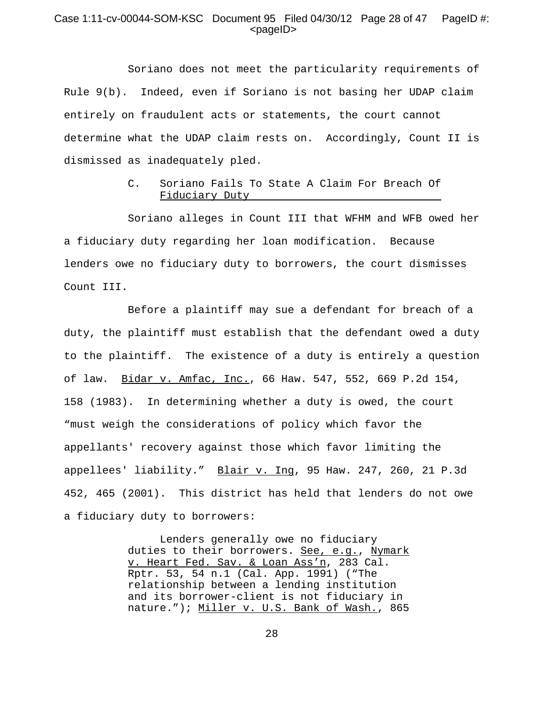#### Case 1:11-cv-00044-SOM-KSC Document 95 Filed 04/30/12 Page 28 of 47 PageID #:  $<$ pageID $>$

Soriano does not meet the particularity requirements of Rule 9(b). Indeed, even if Soriano is not basing her UDAP claim entirely on fraudulent acts or statements, the court cannot determine what the UDAP claim rests on. Accordingly, Count II is dismissed as inadequately pled.

#### C. Soriano Fails To State A Claim For Breach Of Fiduciary Duty

Soriano alleges in Count III that WFHM and WFB owed her a fiduciary duty regarding her loan modification. Because lenders owe no fiduciary duty to borrowers, the court dismisses Count III.

Before a plaintiff may sue a defendant for breach of a duty, the plaintiff must establish that the defendant owed a duty to the plaintiff. The existence of a duty is entirely a question of law. Bidar v. Amfac, Inc., 66 Haw. 547, 552, 669 P.2d 154, 158 (1983). In determining whether a duty is owed, the court "must weigh the considerations of policy which favor the appellants' recovery against those which favor limiting the appellees' liability." Blair v. Ing, 95 Haw. 247, 260, 21 P.3d 452, 465 (2001). This district has held that lenders do not owe a fiduciary duty to borrowers:

> Lenders generally owe no fiduciary duties to their borrowers. See, e.g., Nymark v. Heart Fed. Sav. & Loan Ass'n, 283 Cal. Rptr. 53, 54 n.1 (Cal. App. 1991) ("The relationship between a lending institution and its borrower-client is not fiduciary in nature."); Miller v. U.S. Bank of Wash., 865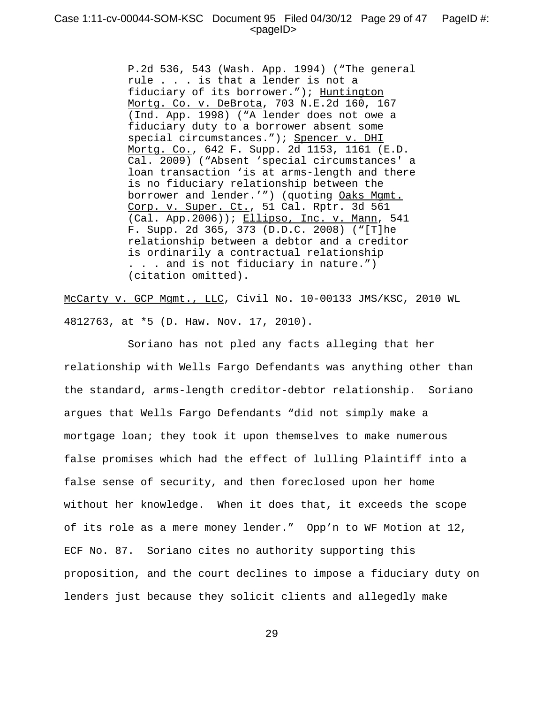P.2d 536, 543 (Wash. App. 1994) ("The general rule . . . is that a lender is not a fiduciary of its borrower."); Huntington Mortg. Co. v. DeBrota, 703 N.E.2d 160, 167 (Ind. App. 1998) ("A lender does not owe a fiduciary duty to a borrower absent some special circumstances."); Spencer v. DHI Mortg. Co., 642 F. Supp. 2d 1153, 1161 (E.D. Cal. 2009) ("Absent 'special circumstances' a loan transaction 'is at arms-length and there is no fiduciary relationship between the borrower and lender.'") (quoting Oaks Mgmt. Corp. v. Super. Ct., 51 Cal. Rptr. 3d 561 (Cal. App.2006)); Ellipso, Inc. v. Mann, 541 F. Supp. 2d 365, 373 (D.D.C. 2008) ("[T]he relationship between a debtor and a creditor is ordinarily a contractual relationship . . . and is not fiduciary in nature.") (citation omitted).

McCarty v. GCP Mgmt., LLC, Civil No. 10-00133 JMS/KSC, 2010 WL 4812763, at \*5 (D. Haw. Nov. 17, 2010).

Soriano has not pled any facts alleging that her relationship with Wells Fargo Defendants was anything other than the standard, arms-length creditor-debtor relationship. Soriano argues that Wells Fargo Defendants "did not simply make a mortgage loan; they took it upon themselves to make numerous false promises which had the effect of lulling Plaintiff into a false sense of security, and then foreclosed upon her home without her knowledge. When it does that, it exceeds the scope of its role as a mere money lender." Opp'n to WF Motion at 12, ECF No. 87. Soriano cites no authority supporting this proposition, and the court declines to impose a fiduciary duty on lenders just because they solicit clients and allegedly make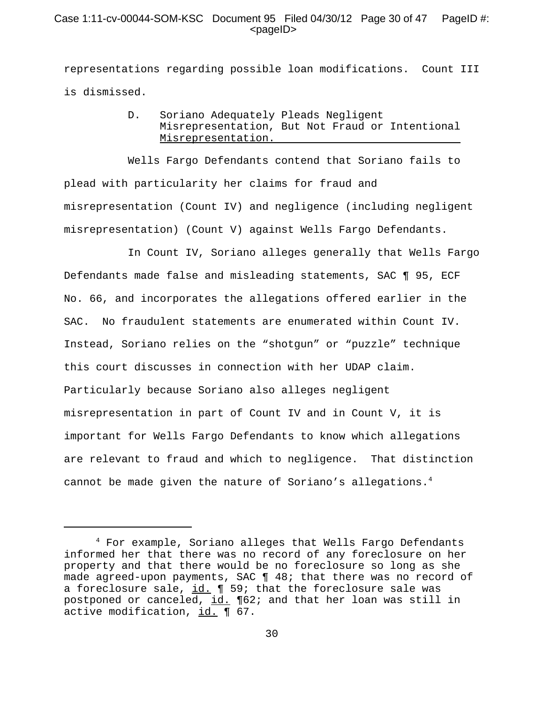## Case 1:11-cv-00044-SOM-KSC Document 95 Filed 04/30/12 Page 30 of 47 PageID #:  $<$ pageID $>$

representations regarding possible loan modifications. Count III is dismissed.

> D. Soriano Adequately Pleads Negligent Misrepresentation, But Not Fraud or Intentional Misrepresentation.

Wells Fargo Defendants contend that Soriano fails to plead with particularity her claims for fraud and misrepresentation (Count IV) and negligence (including negligent misrepresentation) (Count V) against Wells Fargo Defendants.

In Count IV, Soriano alleges generally that Wells Fargo Defendants made false and misleading statements, SAC ¶ 95, ECF No. 66, and incorporates the allegations offered earlier in the SAC. No fraudulent statements are enumerated within Count IV. Instead, Soriano relies on the "shotgun" or "puzzle" technique this court discusses in connection with her UDAP claim. Particularly because Soriano also alleges negligent misrepresentation in part of Count IV and in Count V, it is important for Wells Fargo Defendants to know which allegations are relevant to fraud and which to negligence. That distinction cannot be made given the nature of Soriano's allegations.4

<sup>4</sup> For example, Soriano alleges that Wells Fargo Defendants informed her that there was no record of any foreclosure on her property and that there would be no foreclosure so long as she made agreed-upon payments, SAC ¶ 48; that there was no record of a foreclosure sale,  $id. \n\P 59$ ; that the foreclosure sale was postponed or canceled, id. ¶62; and that her loan was still in active modification, id. ¶ 67.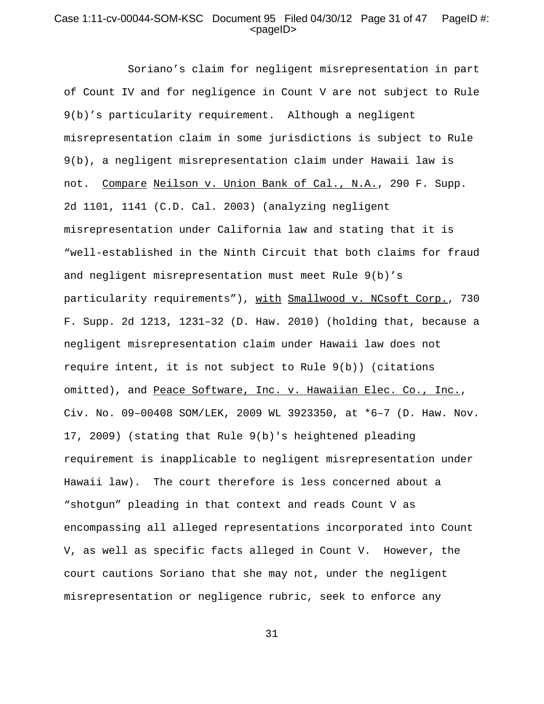## Case 1:11-cv-00044-SOM-KSC Document 95 Filed 04/30/12 Page 31 of 47 PageID #:  $<$ pageID $>$

Soriano's claim for negligent misrepresentation in part of Count IV and for negligence in Count V are not subject to Rule 9(b)'s particularity requirement. Although a negligent misrepresentation claim in some jurisdictions is subject to Rule 9(b), a negligent misrepresentation claim under Hawaii law is not. Compare Neilson v. Union Bank of Cal., N.A., 290 F. Supp. 2d 1101, 1141 (C.D. Cal. 2003) (analyzing negligent misrepresentation under California law and stating that it is "well-established in the Ninth Circuit that both claims for fraud and negligent misrepresentation must meet Rule 9(b)'s particularity requirements"), with Smallwood v. NCsoft Corp., 730 F. Supp. 2d 1213, 1231–32 (D. Haw. 2010) (holding that, because a negligent misrepresentation claim under Hawaii law does not require intent, it is not subject to Rule 9(b)) (citations omitted), and Peace Software, Inc. v. Hawaiian Elec. Co., Inc., Civ. No. 09–00408 SOM/LEK, 2009 WL 3923350, at \*6–7 (D. Haw. Nov. 17, 2009) (stating that Rule 9(b)'s heightened pleading requirement is inapplicable to negligent misrepresentation under Hawaii law). The court therefore is less concerned about a "shotgun" pleading in that context and reads Count V as encompassing all alleged representations incorporated into Count V, as well as specific facts alleged in Count V. However, the court cautions Soriano that she may not, under the negligent misrepresentation or negligence rubric, seek to enforce any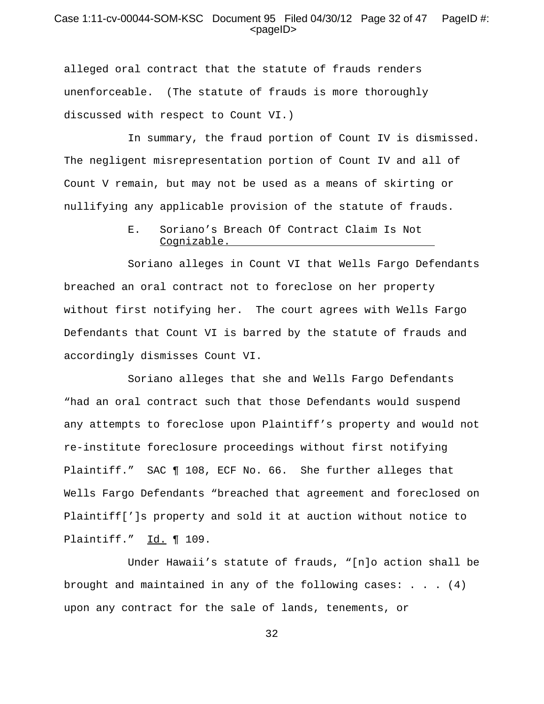#### Case 1:11-cv-00044-SOM-KSC Document 95 Filed 04/30/12 Page 32 of 47 PageID #: <pageID>

alleged oral contract that the statute of frauds renders unenforceable. (The statute of frauds is more thoroughly discussed with respect to Count VI.)

In summary, the fraud portion of Count IV is dismissed. The negligent misrepresentation portion of Count IV and all of Count V remain, but may not be used as a means of skirting or nullifying any applicable provision of the statute of frauds.

### E. Soriano's Breach Of Contract Claim Is Not Cognizable.

Soriano alleges in Count VI that Wells Fargo Defendants breached an oral contract not to foreclose on her property without first notifying her. The court agrees with Wells Fargo Defendants that Count VI is barred by the statute of frauds and accordingly dismisses Count VI.

Soriano alleges that she and Wells Fargo Defendants "had an oral contract such that those Defendants would suspend any attempts to foreclose upon Plaintiff's property and would not re-institute foreclosure proceedings without first notifying Plaintiff." SAC ¶ 108, ECF No. 66. She further alleges that Wells Fargo Defendants "breached that agreement and foreclosed on Plaintiff[']s property and sold it at auction without notice to Plaintiff." Id. 109.

Under Hawaii's statute of frauds, "[n]o action shall be brought and maintained in any of the following cases:  $\ldots$  . (4) upon any contract for the sale of lands, tenements, or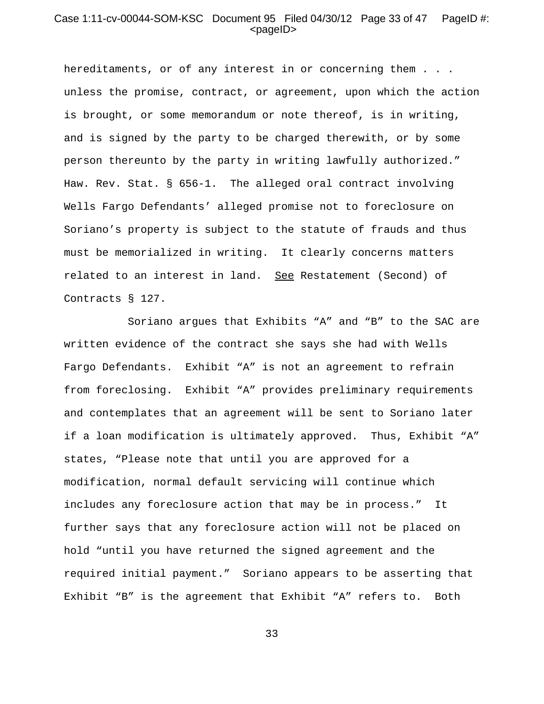#### Case 1:11-cv-00044-SOM-KSC Document 95 Filed 04/30/12 Page 33 of 47 PageID #:  $<$ pageID $>$

hereditaments, or of any interest in or concerning them . . . unless the promise, contract, or agreement, upon which the action is brought, or some memorandum or note thereof, is in writing, and is signed by the party to be charged therewith, or by some person thereunto by the party in writing lawfully authorized." Haw. Rev. Stat. § 656-1. The alleged oral contract involving Wells Fargo Defendants' alleged promise not to foreclosure on Soriano's property is subject to the statute of frauds and thus must be memorialized in writing. It clearly concerns matters related to an interest in land. See Restatement (Second) of Contracts § 127.

Soriano argues that Exhibits "A" and "B" to the SAC are written evidence of the contract she says she had with Wells Fargo Defendants. Exhibit "A" is not an agreement to refrain from foreclosing. Exhibit "A" provides preliminary requirements and contemplates that an agreement will be sent to Soriano later if a loan modification is ultimately approved. Thus, Exhibit "A" states, "Please note that until you are approved for a modification, normal default servicing will continue which includes any foreclosure action that may be in process." It further says that any foreclosure action will not be placed on hold "until you have returned the signed agreement and the required initial payment." Soriano appears to be asserting that Exhibit "B" is the agreement that Exhibit "A" refers to. Both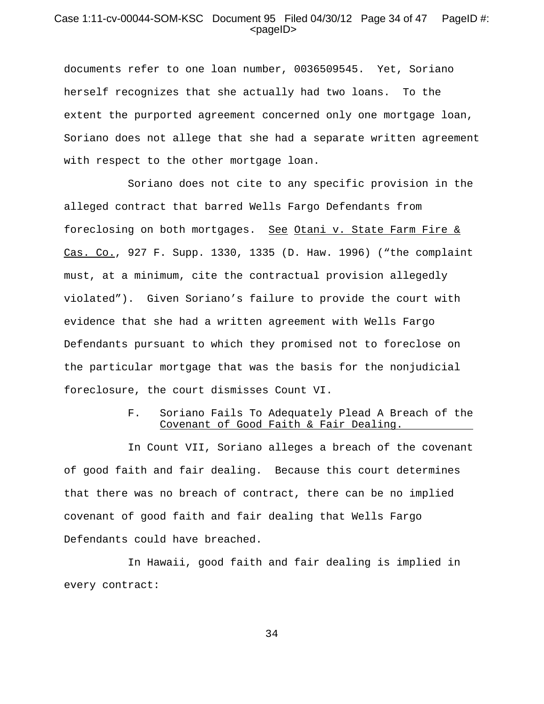#### Case 1:11-cv-00044-SOM-KSC Document 95 Filed 04/30/12 Page 34 of 47 PageID #:  $<$ pageID $>$

documents refer to one loan number, 0036509545. Yet, Soriano herself recognizes that she actually had two loans. To the extent the purported agreement concerned only one mortgage loan, Soriano does not allege that she had a separate written agreement with respect to the other mortgage loan.

Soriano does not cite to any specific provision in the alleged contract that barred Wells Fargo Defendants from foreclosing on both mortgages. See Otani v. State Farm Fire & Cas. Co., 927 F. Supp. 1330, 1335 (D. Haw. 1996) ("the complaint must, at a minimum, cite the contractual provision allegedly violated"). Given Soriano's failure to provide the court with evidence that she had a written agreement with Wells Fargo Defendants pursuant to which they promised not to foreclose on the particular mortgage that was the basis for the nonjudicial foreclosure, the court dismisses Count VI.

#### F. Soriano Fails To Adequately Plead A Breach of the Covenant of Good Faith & Fair Dealing.

In Count VII, Soriano alleges a breach of the covenant of good faith and fair dealing. Because this court determines that there was no breach of contract, there can be no implied covenant of good faith and fair dealing that Wells Fargo Defendants could have breached.

In Hawaii, good faith and fair dealing is implied in every contract: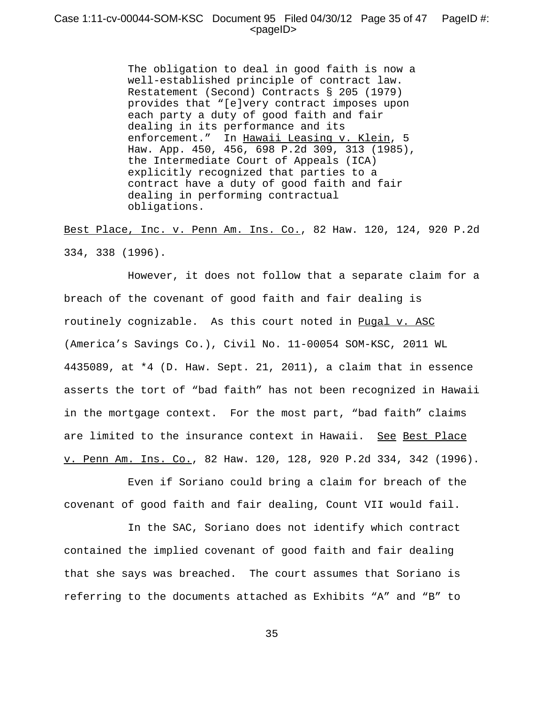### Case 1:11-cv-00044-SOM-KSC Document 95 Filed 04/30/12 Page 35 of 47 PageID #:  $<$ pageID $>$

The obligation to deal in good faith is now a well-established principle of contract law. Restatement (Second) Contracts § 205 (1979) provides that "[e]very contract imposes upon each party a duty of good faith and fair dealing in its performance and its enforcement." In Hawaii Leasing v. Klein, 5 Haw. App. 450, 456, 698 P.2d 309, 313 (1985), the Intermediate Court of Appeals (ICA) explicitly recognized that parties to a contract have a duty of good faith and fair dealing in performing contractual obligations.

Best Place, Inc. v. Penn Am. Ins. Co., 82 Haw. 120, 124, 920 P.2d 334, 338 (1996).

However, it does not follow that a separate claim for a breach of the covenant of good faith and fair dealing is routinely cognizable. As this court noted in Pugal v. ASC (America's Savings Co.), Civil No. 11-00054 SOM-KSC, 2011 WL 4435089, at \*4 (D. Haw. Sept. 21, 2011), a claim that in essence asserts the tort of "bad faith" has not been recognized in Hawaii in the mortgage context. For the most part, "bad faith" claims are limited to the insurance context in Hawaii. See Best Place v. Penn Am. Ins. Co., 82 Haw. 120, 128, 920 P.2d 334, 342 (1996).

Even if Soriano could bring a claim for breach of the covenant of good faith and fair dealing, Count VII would fail.

In the SAC, Soriano does not identify which contract contained the implied covenant of good faith and fair dealing that she says was breached. The court assumes that Soriano is referring to the documents attached as Exhibits "A" and "B" to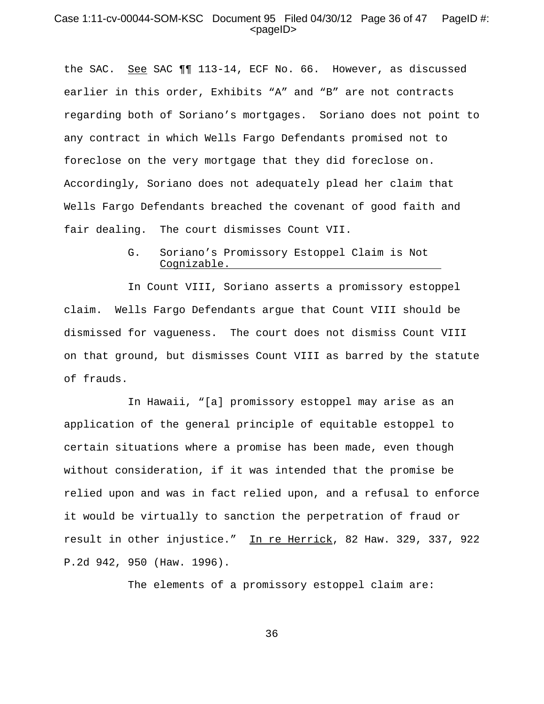#### Case 1:11-cv-00044-SOM-KSC Document 95 Filed 04/30/12 Page 36 of 47 PageID #:  $<$ pageID $>$

the SAC. See SAC ¶¶ 113-14, ECF No. 66. However, as discussed earlier in this order, Exhibits "A" and "B" are not contracts regarding both of Soriano's mortgages. Soriano does not point to any contract in which Wells Fargo Defendants promised not to foreclose on the very mortgage that they did foreclose on. Accordingly, Soriano does not adequately plead her claim that Wells Fargo Defendants breached the covenant of good faith and fair dealing. The court dismisses Count VII.

> G. Soriano's Promissory Estoppel Claim is Not Cognizable.

In Count VIII, Soriano asserts a promissory estoppel claim. Wells Fargo Defendants argue that Count VIII should be dismissed for vagueness. The court does not dismiss Count VIII on that ground, but dismisses Count VIII as barred by the statute of frauds.

In Hawaii, "[a] promissory estoppel may arise as an application of the general principle of equitable estoppel to certain situations where a promise has been made, even though without consideration, if it was intended that the promise be relied upon and was in fact relied upon, and a refusal to enforce it would be virtually to sanction the perpetration of fraud or result in other injustice." In re Herrick, 82 Haw. 329, 337, 922 P.2d 942, 950 (Haw. 1996).

The elements of a promissory estoppel claim are: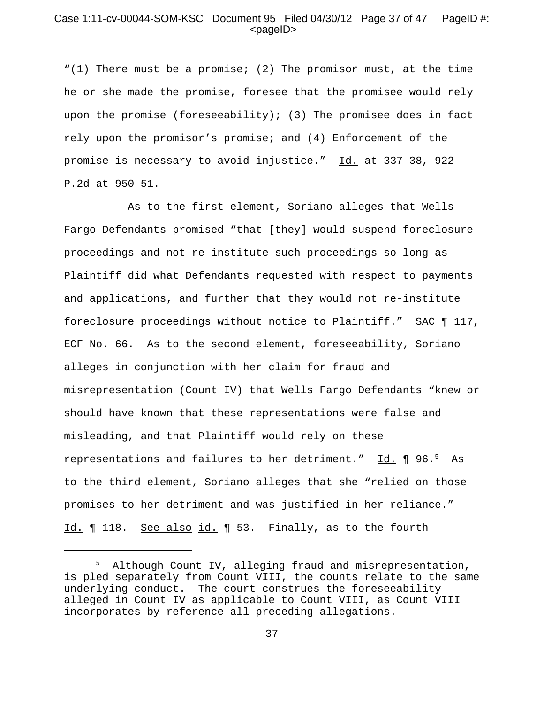#### Case 1:11-cv-00044-SOM-KSC Document 95 Filed 04/30/12 Page 37 of 47 PageID #:  $<$ pageID $>$

"(1) There must be a promise; (2) The promisor must, at the time he or she made the promise, foresee that the promisee would rely upon the promise (foreseeability); (3) The promisee does in fact rely upon the promisor's promise; and (4) Enforcement of the promise is necessary to avoid injustice." Id. at 337-38, 922 P.2d at 950-51.

As to the first element, Soriano alleges that Wells Fargo Defendants promised "that [they] would suspend foreclosure proceedings and not re-institute such proceedings so long as Plaintiff did what Defendants requested with respect to payments and applications, and further that they would not re-institute foreclosure proceedings without notice to Plaintiff." SAC ¶ 117, ECF No. 66. As to the second element, foreseeability, Soriano alleges in conjunction with her claim for fraud and misrepresentation (Count IV) that Wells Fargo Defendants "knew or should have known that these representations were false and misleading, and that Plaintiff would rely on these representations and failures to her detriment." Id. ¶ 96.<sup>5</sup> As to the third element, Soriano alleges that she "relied on those promises to her detriment and was justified in her reliance." Id. ¶ 118. See also id. ¶ 53. Finally, as to the fourth

<sup>5</sup> Although Count IV, alleging fraud and misrepresentation, is pled separately from Count VIII, the counts relate to the same underlying conduct. The court construes the foreseeability alleged in Count IV as applicable to Count VIII, as Count VIII incorporates by reference all preceding allegations.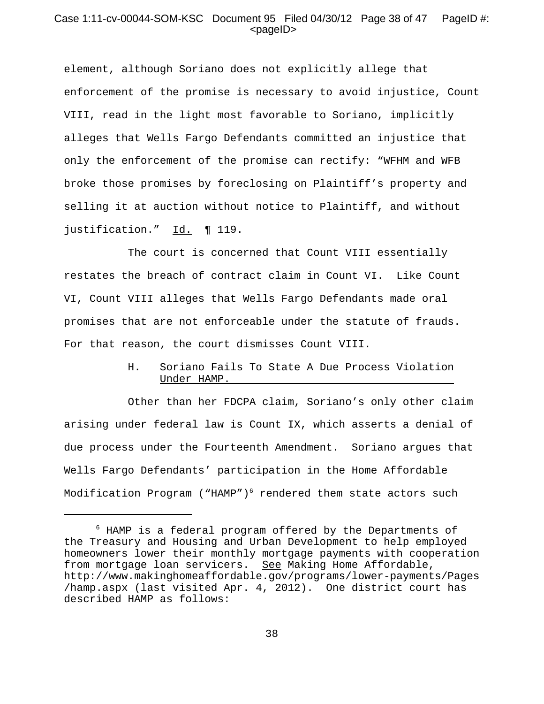### Case 1:11-cv-00044-SOM-KSC Document 95 Filed 04/30/12 Page 38 of 47 PageID #:  $<$ pageID $>$

element, although Soriano does not explicitly allege that enforcement of the promise is necessary to avoid injustice, Count VIII, read in the light most favorable to Soriano, implicitly alleges that Wells Fargo Defendants committed an injustice that only the enforcement of the promise can rectify: "WFHM and WFB broke those promises by foreclosing on Plaintiff's property and selling it at auction without notice to Plaintiff, and without justification." Id. ¶ 119.

The court is concerned that Count VIII essentially restates the breach of contract claim in Count VI. Like Count VI, Count VIII alleges that Wells Fargo Defendants made oral promises that are not enforceable under the statute of frauds. For that reason, the court dismisses Count VIII.

## H. Soriano Fails To State A Due Process Violation Under HAMP.

Other than her FDCPA claim, Soriano's only other claim arising under federal law is Count IX, which asserts a denial of due process under the Fourteenth Amendment. Soriano argues that Wells Fargo Defendants' participation in the Home Affordable Modification Program ("HAMP")<sup>6</sup> rendered them state actors such

<sup>6</sup> HAMP is a federal program offered by the Departments of the Treasury and Housing and Urban Development to help employed homeowners lower their monthly mortgage payments with cooperation from mortgage loan servicers. See Making Home Affordable, http://www.makinghomeaffordable.gov/programs/lower-payments/Pages /hamp.aspx (last visited Apr. 4, 2012). One district court has described HAMP as follows: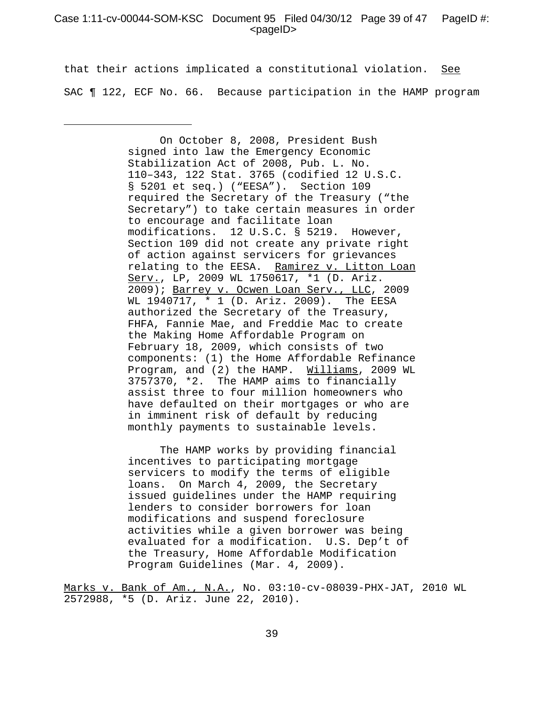#### Case 1:11-cv-00044-SOM-KSC Document 95 Filed 04/30/12 Page 39 of 47 PageID #:  $<$ pageID $>$

that their actions implicated a constitutional violation. See SAC ¶ 122, ECF No. 66. Because participation in the HAMP program

> On October 8, 2008, President Bush signed into law the Emergency Economic Stabilization Act of 2008, Pub. L. No. 110–343, 122 Stat. 3765 (codified 12 U.S.C. § 5201 et seq.) ("EESA"). Section 109 required the Secretary of the Treasury ("the Secretary") to take certain measures in order to encourage and facilitate loan modifications. 12 U.S.C. § 5219. However, Section 109 did not create any private right of action against servicers for grievances relating to the EESA. Ramirez v. Litton Loan Serv., LP, 2009 WL 1750617, \*1 (D. Ariz. 2009); Barrey v. Ocwen Loan Serv., LLC, 2009 WL 1940717, \* 1 (D. Ariz. 2009). The EESA authorized the Secretary of the Treasury, FHFA, Fannie Mae, and Freddie Mac to create the Making Home Affordable Program on February 18, 2009, which consists of two components: (1) the Home Affordable Refinance Program, and (2) the HAMP. Williams, 2009 WL 3757370, \*2. The HAMP aims to financially assist three to four million homeowners who have defaulted on their mortgages or who are in imminent risk of default by reducing monthly payments to sustainable levels.

The HAMP works by providing financial incentives to participating mortgage servicers to modify the terms of eligible loans. On March 4, 2009, the Secretary issued guidelines under the HAMP requiring lenders to consider borrowers for loan modifications and suspend foreclosure activities while a given borrower was being evaluated for a modification. U.S. Dep't of the Treasury, Home Affordable Modification Program Guidelines (Mar. 4, 2009).

Marks v. Bank of Am., N.A., No. 03:10-cv-08039-PHX-JAT, 2010 WL 2572988, \*5 (D. Ariz. June 22, 2010).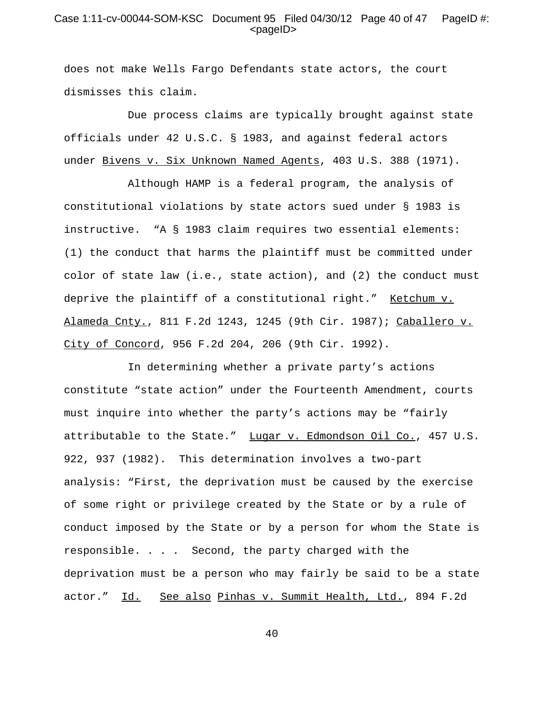## Case 1:11-cv-00044-SOM-KSC Document 95 Filed 04/30/12 Page 40 of 47 PageID #:  $<$ pageID $>$

does not make Wells Fargo Defendants state actors, the court dismisses this claim.

Due process claims are typically brought against state officials under 42 U.S.C. § 1983, and against federal actors under Bivens v. Six Unknown Named Agents, 403 U.S. 388 (1971).

Although HAMP is a federal program, the analysis of constitutional violations by state actors sued under § 1983 is instructive. "A § 1983 claim requires two essential elements: (1) the conduct that harms the plaintiff must be committed under color of state law (i.e., state action), and (2) the conduct must deprive the plaintiff of a constitutional right." Ketchum v. Alameda Cnty., 811 F.2d 1243, 1245 (9th Cir. 1987); Caballero v. City of Concord, 956 F.2d 204, 206 (9th Cir. 1992).

In determining whether a private party's actions constitute "state action" under the Fourteenth Amendment, courts must inquire into whether the party's actions may be "fairly attributable to the State." Lugar v. Edmondson Oil Co., 457 U.S. 922, 937 (1982). This determination involves a two-part analysis: "First, the deprivation must be caused by the exercise of some right or privilege created by the State or by a rule of conduct imposed by the State or by a person for whom the State is responsible. . . . Second, the party charged with the deprivation must be a person who may fairly be said to be a state actor." Id. See also Pinhas v. Summit Health, Ltd., 894 F.2d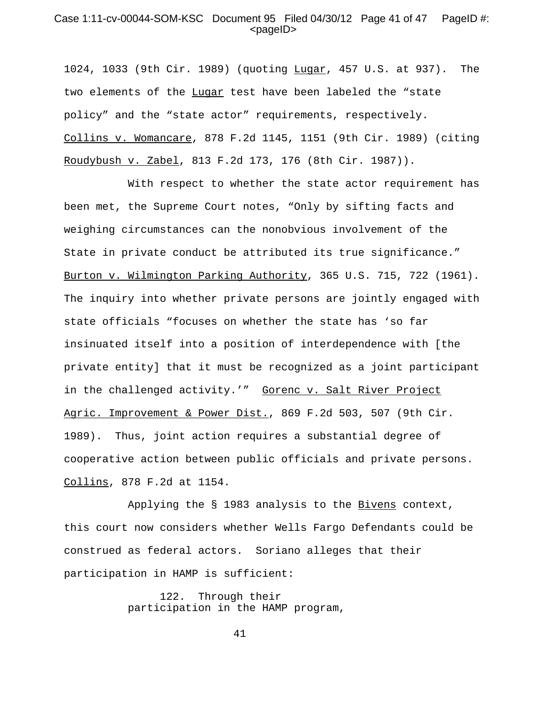#### Case 1:11-cv-00044-SOM-KSC Document 95 Filed 04/30/12 Page 41 of 47 PageID #:  $<$ pageID $>$

1024, 1033 (9th Cir. 1989) (quoting Lugar, 457 U.S. at 937). The two elements of the Lugar test have been labeled the "state policy" and the "state actor" requirements, respectively. Collins v. Womancare, 878 F.2d 1145, 1151 (9th Cir. 1989) (citing Roudybush v. Zabel, 813 F.2d 173, 176 (8th Cir. 1987)).

With respect to whether the state actor requirement has been met, the Supreme Court notes, "Only by sifting facts and weighing circumstances can the nonobvious involvement of the State in private conduct be attributed its true significance." Burton v. Wilmington Parking Authority, 365 U.S. 715, 722 (1961). The inquiry into whether private persons are jointly engaged with state officials "focuses on whether the state has 'so far insinuated itself into a position of interdependence with [the private entity] that it must be recognized as a joint participant in the challenged activity.'" Gorenc v. Salt River Project Agric. Improvement & Power Dist., 869 F.2d 503, 507 (9th Cir. 1989). Thus, joint action requires a substantial degree of cooperative action between public officials and private persons. Collins, 878 F.2d at 1154.

Applying the § 1983 analysis to the Bivens context, this court now considers whether Wells Fargo Defendants could be construed as federal actors. Soriano alleges that their participation in HAMP is sufficient:

> 122. Through their participation in the HAMP program,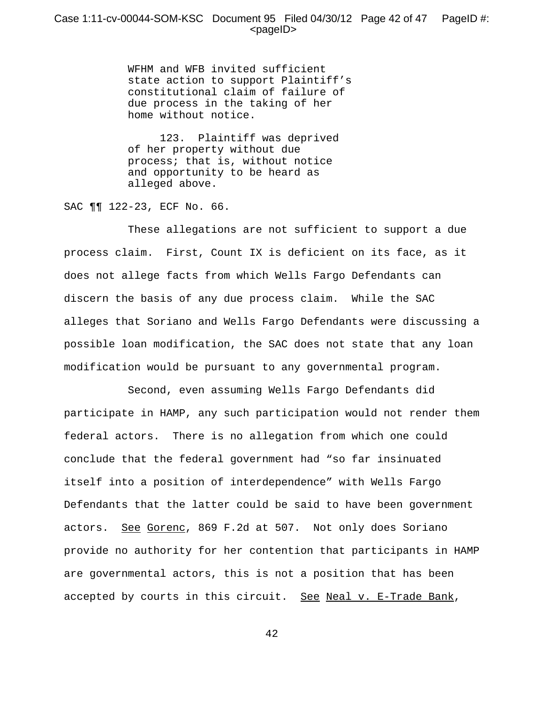## Case 1:11-cv-00044-SOM-KSC Document 95 Filed 04/30/12 Page 42 of 47 PageID #:  $<$ pageID $>$

WFHM and WFB invited sufficient state action to support Plaintiff's constitutional claim of failure of due process in the taking of her home without notice.

 123. Plaintiff was deprived of her property without due process; that is, without notice and opportunity to be heard as alleged above.

SAC ¶¶ 122-23, ECF No. 66.

These allegations are not sufficient to support a due process claim. First, Count IX is deficient on its face, as it does not allege facts from which Wells Fargo Defendants can discern the basis of any due process claim. While the SAC alleges that Soriano and Wells Fargo Defendants were discussing a possible loan modification, the SAC does not state that any loan modification would be pursuant to any governmental program.

Second, even assuming Wells Fargo Defendants did participate in HAMP, any such participation would not render them federal actors. There is no allegation from which one could conclude that the federal government had "so far insinuated itself into a position of interdependence" with Wells Fargo Defendants that the latter could be said to have been government actors. See Gorenc, 869 F.2d at 507. Not only does Soriano provide no authority for her contention that participants in HAMP are governmental actors, this is not a position that has been accepted by courts in this circuit. See Neal v. E-Trade Bank,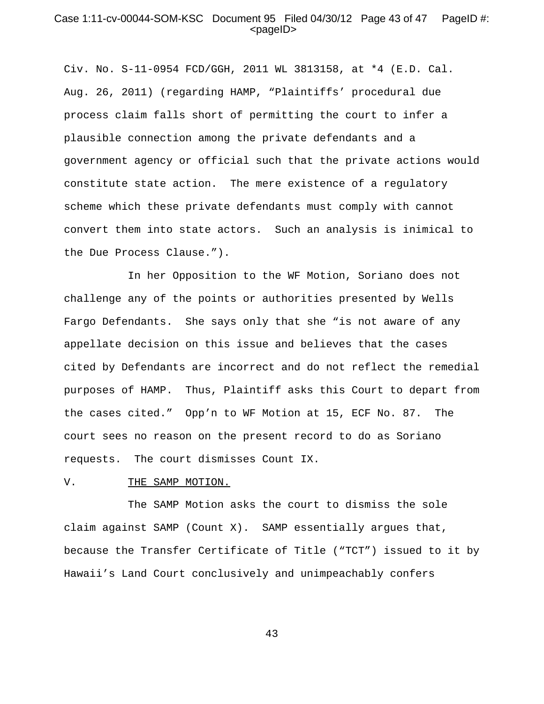#### Case 1:11-cv-00044-SOM-KSC Document 95 Filed 04/30/12 Page 43 of 47 PageID #:  $<$ pageID $>$

Civ. No. S-11-0954 FCD/GGH, 2011 WL 3813158, at \*4 (E.D. Cal. Aug. 26, 2011) (regarding HAMP, "Plaintiffs' procedural due process claim falls short of permitting the court to infer a plausible connection among the private defendants and a government agency or official such that the private actions would constitute state action. The mere existence of a regulatory scheme which these private defendants must comply with cannot convert them into state actors. Such an analysis is inimical to the Due Process Clause.").

In her Opposition to the WF Motion, Soriano does not challenge any of the points or authorities presented by Wells Fargo Defendants. She says only that she "is not aware of any appellate decision on this issue and believes that the cases cited by Defendants are incorrect and do not reflect the remedial purposes of HAMP. Thus, Plaintiff asks this Court to depart from the cases cited." Opp'n to WF Motion at 15, ECF No. 87. The court sees no reason on the present record to do as Soriano requests. The court dismisses Count IX.

#### V. THE SAMP MOTION.

The SAMP Motion asks the court to dismiss the sole claim against SAMP (Count X). SAMP essentially argues that, because the Transfer Certificate of Title ("TCT") issued to it by Hawaii's Land Court conclusively and unimpeachably confers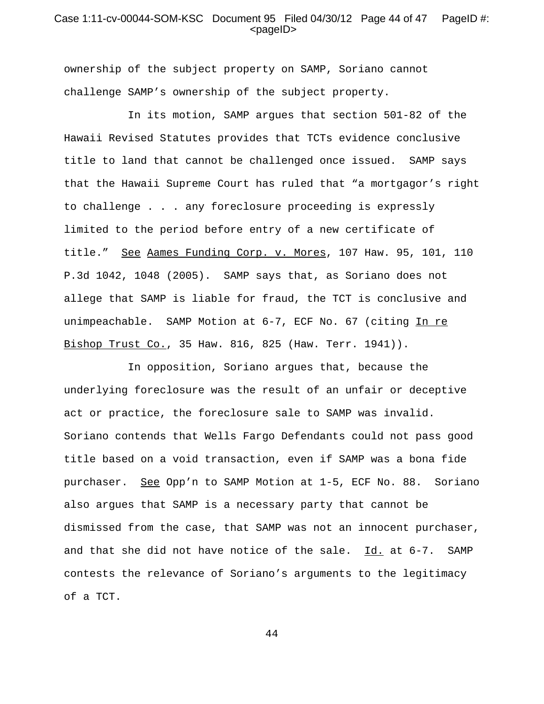#### Case 1:11-cv-00044-SOM-KSC Document 95 Filed 04/30/12 Page 44 of 47 PageID #:  $<$ pageID $>$

ownership of the subject property on SAMP, Soriano cannot challenge SAMP's ownership of the subject property.

In its motion, SAMP argues that section 501-82 of the Hawaii Revised Statutes provides that TCTs evidence conclusive title to land that cannot be challenged once issued. SAMP says that the Hawaii Supreme Court has ruled that "a mortgagor's right to challenge . . . any foreclosure proceeding is expressly limited to the period before entry of a new certificate of title." See Aames Funding Corp. v. Mores, 107 Haw. 95, 101, 110 P.3d 1042, 1048 (2005). SAMP says that, as Soriano does not allege that SAMP is liable for fraud, the TCT is conclusive and unimpeachable. SAMP Motion at 6-7, ECF No. 67 (citing In re Bishop Trust Co., 35 Haw. 816, 825 (Haw. Terr. 1941)).

In opposition, Soriano argues that, because the underlying foreclosure was the result of an unfair or deceptive act or practice, the foreclosure sale to SAMP was invalid. Soriano contends that Wells Fargo Defendants could not pass good title based on a void transaction, even if SAMP was a bona fide purchaser. See Opp'n to SAMP Motion at 1-5, ECF No. 88. Soriano also argues that SAMP is a necessary party that cannot be dismissed from the case, that SAMP was not an innocent purchaser, and that she did not have notice of the sale. Id. at 6-7. SAMP contests the relevance of Soriano's arguments to the legitimacy of a TCT.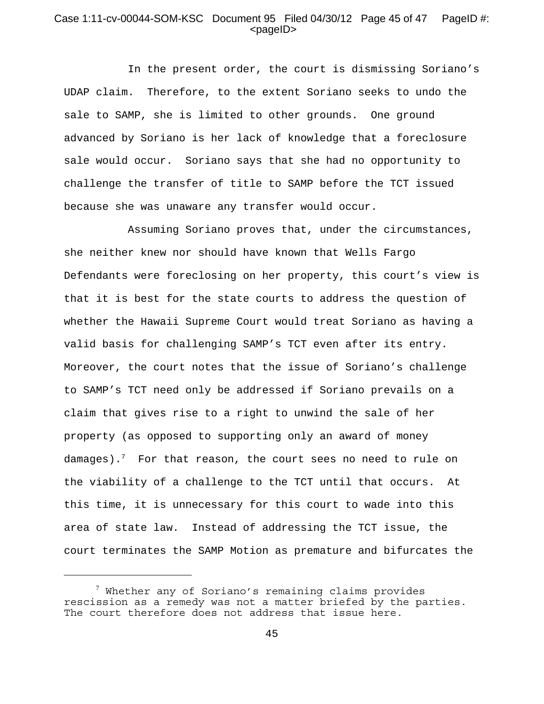## Case 1:11-cv-00044-SOM-KSC Document 95 Filed 04/30/12 Page 45 of 47 PageID #:  $<$ pageID $>$

In the present order, the court is dismissing Soriano's UDAP claim. Therefore, to the extent Soriano seeks to undo the sale to SAMP, she is limited to other grounds. One ground advanced by Soriano is her lack of knowledge that a foreclosure sale would occur. Soriano says that she had no opportunity to challenge the transfer of title to SAMP before the TCT issued because she was unaware any transfer would occur.

Assuming Soriano proves that, under the circumstances, she neither knew nor should have known that Wells Fargo Defendants were foreclosing on her property, this court's view is that it is best for the state courts to address the question of whether the Hawaii Supreme Court would treat Soriano as having a valid basis for challenging SAMP's TCT even after its entry. Moreover, the court notes that the issue of Soriano's challenge to SAMP's TCT need only be addressed if Soriano prevails on a claim that gives rise to a right to unwind the sale of her property (as opposed to supporting only an award of money damages). $^7$  For that reason, the court sees no need to rule on the viability of a challenge to the TCT until that occurs. At this time, it is unnecessary for this court to wade into this area of state law. Instead of addressing the TCT issue, the court terminates the SAMP Motion as premature and bifurcates the

 $^7$  Whether any of Soriano's remaining claims provides rescission as a remedy was not a matter briefed by the parties. The court therefore does not address that issue here.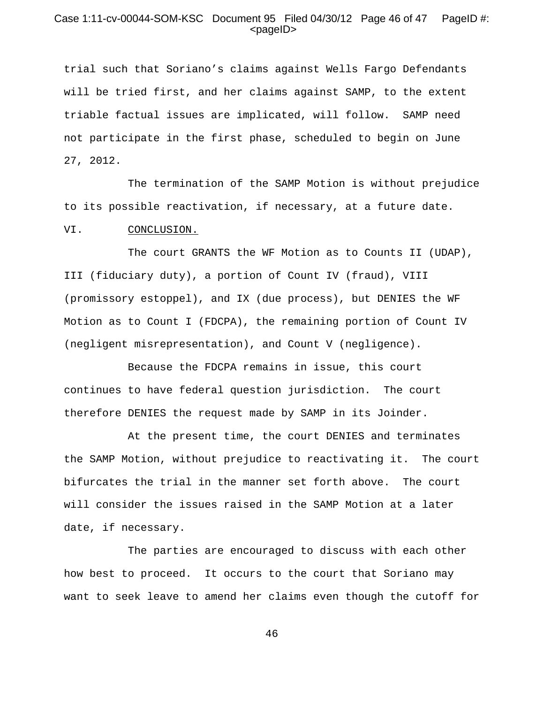## Case 1:11-cv-00044-SOM-KSC Document 95 Filed 04/30/12 Page 46 of 47 PageID #:  $<$ pageID $>$

trial such that Soriano's claims against Wells Fargo Defendants will be tried first, and her claims against SAMP, to the extent triable factual issues are implicated, will follow. SAMP need not participate in the first phase, scheduled to begin on June 27, 2012.

The termination of the SAMP Motion is without prejudice to its possible reactivation, if necessary, at a future date.

#### VI. CONCLUSION.

The court GRANTS the WF Motion as to Counts II (UDAP), III (fiduciary duty), a portion of Count IV (fraud), VIII (promissory estoppel), and IX (due process), but DENIES the WF Motion as to Count I (FDCPA), the remaining portion of Count IV (negligent misrepresentation), and Count V (negligence).

Because the FDCPA remains in issue, this court continues to have federal question jurisdiction. The court therefore DENIES the request made by SAMP in its Joinder.

At the present time, the court DENIES and terminates the SAMP Motion, without prejudice to reactivating it. The court bifurcates the trial in the manner set forth above. The court will consider the issues raised in the SAMP Motion at a later date, if necessary.

The parties are encouraged to discuss with each other how best to proceed. It occurs to the court that Soriano may want to seek leave to amend her claims even though the cutoff for